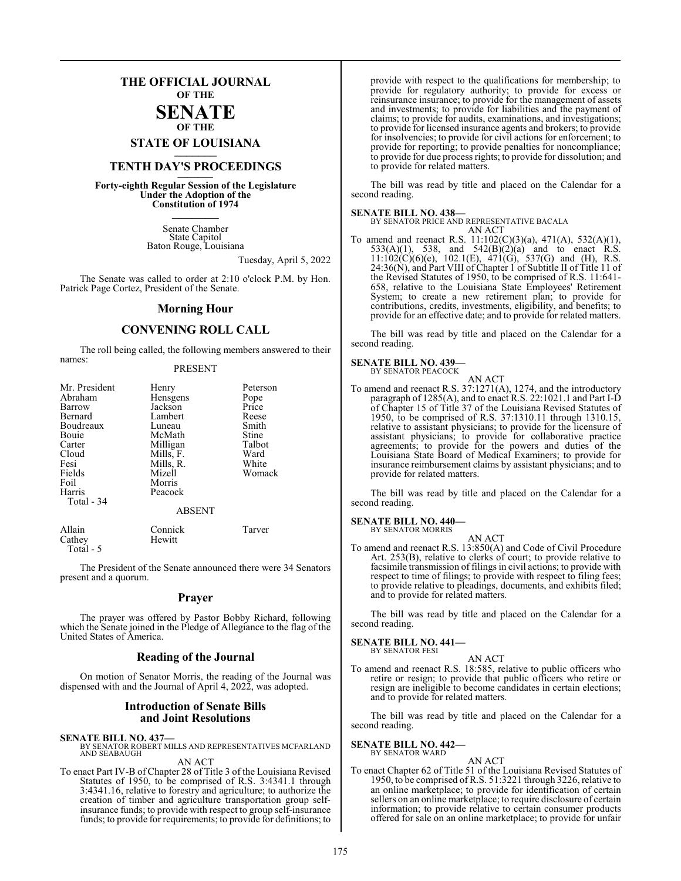## **THE OFFICIAL JOURNAL OF THE SENATE**

## **OF THE**

**STATE OF LOUISIANA \_\_\_\_\_\_\_**

# **TENTH DAY'S PROCEEDINGS \_\_\_\_\_\_\_**

**Forty-eighth Regular Session of the Legislature Under the Adoption of the Constitution of 1974 \_\_\_\_\_\_\_**

> Senate Chamber State Capitol Baton Rouge, Louisiana

> > Tuesday, April 5, 2022

The Senate was called to order at 2:10 o'clock P.M. by Hon. Patrick Page Cortez, President of the Senate.

#### **Morning Hour**

### **CONVENING ROLL CALL**

The roll being called, the following members answered to their names:

#### PRESENT

| Mr. President<br>Abraham<br>Barrow<br>Bernard<br>Boudreaux<br>Bouie<br>Carter<br>Cloud<br>Fesi<br>Fields<br>Foil<br>Harris<br>Total - 34 | Henry<br>Hensgens<br>Jackson<br>Lambert<br>Luneau<br>McMath<br>Milligan<br>Mills, F.<br>Mills, R.<br>Mizell<br>Morris<br>Peacock<br><b>ABSENT</b> | Peterson<br>Pope<br>Price<br>Reese<br>Smith<br>Stine<br>Talbot<br>Ward<br>White<br>Womack |
|------------------------------------------------------------------------------------------------------------------------------------------|---------------------------------------------------------------------------------------------------------------------------------------------------|-------------------------------------------------------------------------------------------|
| Allain                                                                                                                                   | Connick                                                                                                                                           | Tarver                                                                                    |

Cathey Hewitt Total - 5

The President of the Senate announced there were 34 Senators present and a quorum.

#### **Prayer**

The prayer was offered by Pastor Bobby Richard, following which the Senate joined in the Pledge of Allegiance to the flag of the United States of America.

#### **Reading of the Journal**

On motion of Senator Morris, the reading of the Journal was dispensed with and the Journal of April 4, 2022, was adopted.

#### **Introduction of Senate Bills and Joint Resolutions**

**SENATE BILL NO. 437—** BY SENATOR ROBERT MILLS AND REPRESENTATIVES MCFARLAND AND SEABAUGH AN ACT

To enact Part IV-B of Chapter 28 of Title 3 of the Louisiana Revised Statutes of 1950, to be comprised of R.S. 3:4341.1 through 3:4341.16, relative to forestry and agriculture; to authorize the creation of timber and agriculture transportation group selfinsurance funds; to provide with respect to group self-insurance funds; to provide for requirements; to provide for definitions; to

provide with respect to the qualifications for membership; to provide for regulatory authority; to provide for excess or reinsurance insurance; to provide for the management of assets and investments; to provide for liabilities and the payment of claims; to provide for audits, examinations, and investigations; to provide for licensed insurance agents and brokers; to provide for insolvencies; to provide for civil actions for enforcement; to provide for reporting; to provide penalties for noncompliance; to provide for due process rights; to provide for dissolution; and to provide for related matters.

The bill was read by title and placed on the Calendar for a second reading.

#### **SENATE BILL NO. 438—**

BY SENATOR PRICE AND REPRESENTATIVE BACALA AN ACT

To amend and reenact R.S. 11:102(C)(3)(a), 471(A), 532(A)(1), 533(A)(1), 538, and  $542(B)(2)(a)$  and to enact R.S.  $11:102(\text{C})(6)(e)$ ,  $102.1(\text{E})$ ,  $471(\text{G})$ ,  $537(\text{G})$  and (H), R.S. 24:36(N), and Part VIII of Chapter 1 of Subtitle II of Title 11 of the Revised Statutes of 1950, to be comprised of R.S. 11:641- 658, relative to the Louisiana State Employees' Retirement System; to create a new retirement plan; to provide for contributions, credits, investments, eligibility, and benefits; to provide for an effective date; and to provide for related matters.

The bill was read by title and placed on the Calendar for a second reading.

#### **SENATE BILL NO. 439—** BY SENATOR PEACOCK

AN ACT

To amend and reenact R.S. 37:1271(A), 1274, and the introductory paragraph of 1285(A), and to enact R.S. 22:1021.1 and Part I-D of Chapter 15 of Title 37 of the Louisiana Revised Statutes of 1950, to be comprised of R.S. 37:1310.11 through 1310.15, relative to assistant physicians; to provide for the licensure of assistant physicians; to provide for collaborative practice agreements; to provide for the powers and duties of the Louisiana State Board of Medical Examiners; to provide for insurance reimbursement claims by assistant physicians; and to provide for related matters.

The bill was read by title and placed on the Calendar for a second reading.

#### **SENATE BILL NO. 440—** BY SENATOR MORRIS

- 
- To amend and reenact R.S. 13:850(A) and Code of Civil Procedure Art. 253(B), relative to clerks of court; to provide relative to facsimile transmission of filings in civil actions; to provide with respect to time of filings; to provide with respect to filing fees; to provide relative to pleadings, documents, and exhibits filed; and to provide for related matters.

AN ACT

The bill was read by title and placed on the Calendar for a second reading.

#### **SENATE BILL NO. 441—** BY SENATOR FESI

## AN ACT

To amend and reenact R.S. 18:585, relative to public officers who retire or resign; to provide that public officers who retire or resign are ineligible to become candidates in certain elections; and to provide for related matters.

The bill was read by title and placed on the Calendar for a second reading.

# **SENATE BILL NO. 442—** BY SENATOR WARD

AN ACT To enact Chapter 62 of Title 51 of the Louisiana Revised Statutes of 1950, to be comprised of R.S. 51:3221 through 3226, relative to an online marketplace; to provide for identification of certain sellers on an online marketplace; to require disclosure of certain information; to provide relative to certain consumer products offered for sale on an online marketplace; to provide for unfair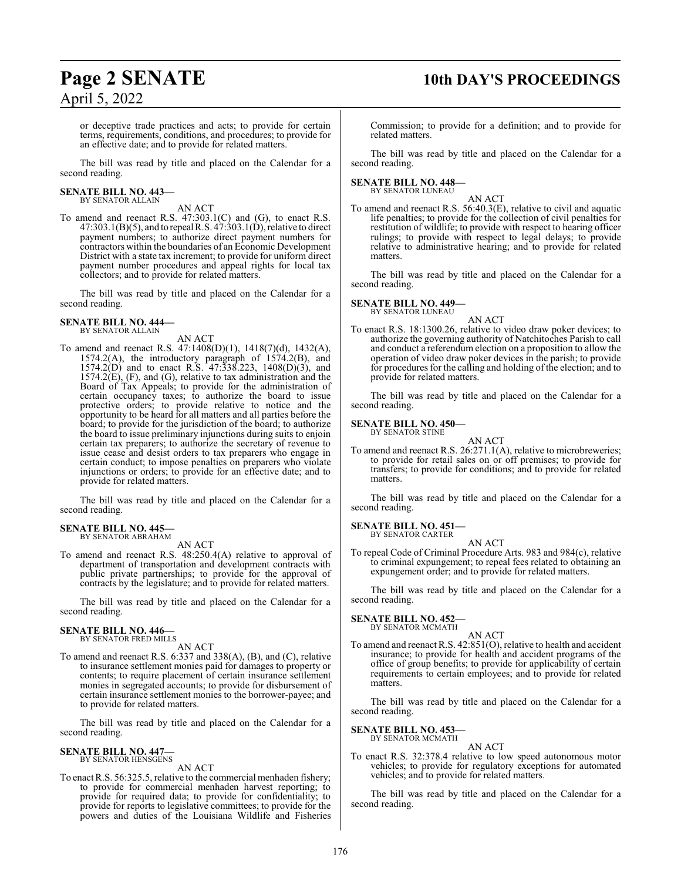# **Page 2 SENATE 10th DAY'S PROCEEDINGS**

or deceptive trade practices and acts; to provide for certain terms, requirements, conditions, and procedures; to provide for an effective date; and to provide for related matters.

The bill was read by title and placed on the Calendar for a second reading.

#### **SENATE BILL NO. 443—** BY SENATOR ALLAIN

AN ACT

To amend and reenact R.S. 47:303.1(C) and (G), to enact R.S.  $47:303.1(B)(5)$ , and to repeal R.S.  $47:303.1(D)$ , relative to direct payment numbers; to authorize direct payment numbers for contractors within the boundaries of an Economic Development District with a state tax increment; to provide for uniform direct payment number procedures and appeal rights for local tax collectors; and to provide for related matters.

The bill was read by title and placed on the Calendar for a second reading.

#### **SENATE BILL NO. 444—** BY SENATOR ALLAIN

AN ACT

To amend and reenact R.S. 47:1408(D)(1), 1418(7)(d), 1432(A), 1574.2(A), the introductory paragraph of 1574.2(B), and 1574.2(D) and to enact R.S. 47:338.223, 1408(D)(3), and 1574.2(E), (F), and (G), relative to tax administration and the Board of Tax Appeals; to provide for the administration of certain occupancy taxes; to authorize the board to issue protective orders; to provide relative to notice and the opportunity to be heard for all matters and all parties before the board; to provide for the jurisdiction of the board; to authorize the board to issue preliminary injunctions during suits to enjoin certain tax preparers; to authorize the secretary of revenue to issue cease and desist orders to tax preparers who engage in certain conduct; to impose penalties on preparers who violate injunctions or orders; to provide for an effective date; and to provide for related matters.

The bill was read by title and placed on the Calendar for a second reading.

#### **SENATE BILL NO. 445—** BY SENATOR ABRAHAM

AN ACT

To amend and reenact R.S. 48:250.4(A) relative to approval of department of transportation and development contracts with public private partnerships; to provide for the approval of contracts by the legislature; and to provide for related matters.

The bill was read by title and placed on the Calendar for a second reading.

#### **SENATE BILL NO. 446—** BY SENATOR FRED MILLS

AN ACT

To amend and reenact R.S. 6:337 and 338(A), (B), and (C), relative to insurance settlement monies paid for damages to property or contents; to require placement of certain insurance settlement monies in segregated accounts; to provide for disbursement of certain insurance settlement monies to the borrower-payee; and to provide for related matters.

The bill was read by title and placed on the Calendar for a second reading.

#### **SENATE BILL NO. 447—** BY SENATOR HENSGENS

AN ACT

To enact R.S. 56:325.5, relative to the commercial menhaden fishery; to provide for commercial menhaden harvest reporting; to provide for required data; to provide for confidentiality; to provide for reports to legislative committees; to provide for the powers and duties of the Louisiana Wildlife and Fisheries

Commission; to provide for a definition; and to provide for related matters.

The bill was read by title and placed on the Calendar for a second reading.

# **SENATE BILL NO. 448—** BY SENATOR LUNEAU

AN ACT

To amend and reenact R.S. 56:40.3(E), relative to civil and aquatic life penalties; to provide for the collection of civil penalties for restitution of wildlife; to provide with respect to hearing officer rulings; to provide with respect to legal delays; to provide relative to administrative hearing; and to provide for related matters.

The bill was read by title and placed on the Calendar for a second reading.

## **SENATE BILL NO. 449—**

BY SENATOR LUNEAU

AN ACT To enact R.S. 18:1300.26, relative to video draw poker devices; to authorize the governing authority of Natchitoches Parish to call and conduct a referendum election on a proposition to allow the operation of video draw poker devices in the parish; to provide for procedures for the calling and holding of the election; and to provide for related matters.

The bill was read by title and placed on the Calendar for a second reading.

**SENATE BILL NO. 450—** BY SENATOR STINE

AN ACT

To amend and reenact R.S. 26:271.1(A), relative to microbreweries; to provide for retail sales on or off premises; to provide for transfers; to provide for conditions; and to provide for related matters.

The bill was read by title and placed on the Calendar for a second reading.

# **SENATE BILL NO. 451—** BY SENATOR CARTER

AN ACT

To repeal Code of Criminal Procedure Arts. 983 and 984(c), relative to criminal expungement; to repeal fees related to obtaining an expungement order; and to provide for related matters.

The bill was read by title and placed on the Calendar for a second reading.

#### **SENATE BILL NO. 452—** BY SENATOR MCMATH

AN ACT

To amend and reenact R.S. 42:851(O), relative to health and accident insurance; to provide for health and accident programs of the office of group benefits; to provide for applicability of certain requirements to certain employees; and to provide for related matters.

The bill was read by title and placed on the Calendar for a second reading.

#### **SENATE BILL NO. 453—** BY SENATOR MCMATH

AN ACT

To enact R.S. 32:378.4 relative to low speed autonomous motor vehicles; to provide for regulatory exceptions for automated vehicles; and to provide for related matters.

The bill was read by title and placed on the Calendar for a second reading.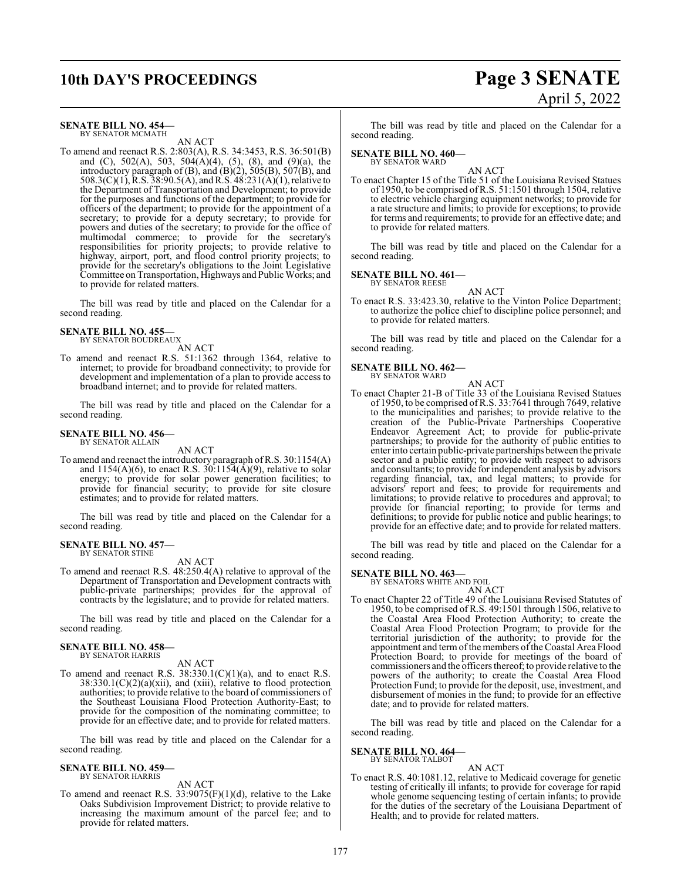# **10th DAY'S PROCEEDINGS Page 3 SENATE**

# April 5, 2022

#### **SENATE BILL NO. 454—** BY SENATOR MCMATH

AN ACT

To amend and reenact R.S. 2:803(A), R.S. 34:3453, R.S. 36:501(B) and (C), 502(A), 503, 504(A)(4), (5), (8), and (9)(a), the introductory paragraph of  $(B)$ , and  $(B)(2)$ , 505 $(B)$ , 507 $(B)$ , and 508.3(C)(1), R.S. 38:90.5(A), and R.S. 48:231(A)(1), relative to the Department of Transportation and Development; to provide for the purposes and functions of the department; to provide for officers of the department; to provide for the appointment of a secretary; to provide for a deputy secretary; to provide for powers and duties of the secretary; to provide for the office of multimodal commerce; to provide for the secretary's responsibilities for priority projects; to provide relative to highway, airport, port, and flood control priority projects; to provide for the secretary's obligations to the Joint Legislative Committee on Transportation, Highways and Public Works; and to provide for related matters.

The bill was read by title and placed on the Calendar for a second reading.

**SENATE BILL NO. 455—**

BY SENATOR BOUDREAUX AN ACT

To amend and reenact R.S. 51:1362 through 1364, relative to internet; to provide for broadband connectivity; to provide for development and implementation of a plan to provide access to broadband internet; and to provide for related matters.

The bill was read by title and placed on the Calendar for a second reading.

#### **SENATE BILL NO. 456—** BY SENATOR ALLAIN

AN ACT

To amend and reenact the introductory paragraph ofR.S. 30:1154(A) and  $1154(A)(6)$ , to enact R.S.  $30:1154(\overline{A})(9)$ , relative to solar energy; to provide for solar power generation facilities; to provide for financial security; to provide for site closure estimates; and to provide for related matters.

The bill was read by title and placed on the Calendar for a second reading.

#### **SENATE BILL NO. 457—**

BY SENATOR STINE

AN ACT

To amend and reenact R.S. 48:250.4(A) relative to approval of the Department of Transportation and Development contracts with public-private partnerships; provides for the approval of contracts by the legislature; and to provide for related matters.

The bill was read by title and placed on the Calendar for a second reading.

**SENATE BILL NO. 458—** BY SENATOR HARRIS

AN ACT

To amend and reenact R.S. 38:330.1(C)(1)(a), and to enact R.S.  $38:330.1(C)(2)(a)(xii)$ , and (xiii), relative to flood protection authorities; to provide relative to the board of commissioners of the Southeast Louisiana Flood Protection Authority-East; to provide for the composition of the nominating committee; to provide for an effective date; and to provide for related matters.

The bill was read by title and placed on the Calendar for a second reading.

#### **SENATE BILL NO. 459—** BY SENATOR HARRIS

AN ACT

To amend and reenact R.S. 33:9075(F)(1)(d), relative to the Lake Oaks Subdivision Improvement District; to provide relative to increasing the maximum amount of the parcel fee; and to provide for related matters.

The bill was read by title and placed on the Calendar for a second reading.

#### **SENATE BILL NO. 460—** BY SENATOR WARD

AN ACT

To enact Chapter 15 of the Title 51 of the Louisiana Revised Statues of 1950, to be comprised ofR.S. 51:1501 through 1504, relative to electric vehicle charging equipment networks; to provide for a rate structure and limits; to provide for exceptions; to provide for terms and requirements; to provide for an effective date; and to provide for related matters.

The bill was read by title and placed on the Calendar for a second reading.

## **SENATE BILL NO. 461—**

BY SENATOR REESE

AN ACT

To enact R.S. 33:423.30, relative to the Vinton Police Department; to authorize the police chief to discipline police personnel; and to provide for related matters.

The bill was read by title and placed on the Calendar for a second reading.

#### **SENATE BILL NO. 462—** BY SENATOR WARD

AN ACT

To enact Chapter 21-B of Title 33 of the Louisiana Revised Statues of 1950, to be comprised ofR.S. 33:7641 through 7649, relative to the municipalities and parishes; to provide relative to the creation of the Public-Private Partnerships Cooperative Endeavor Agreement Act; to provide for public-private partnerships; to provide for the authority of public entities to enter into certain public-private partnerships between the private sector and a public entity; to provide with respect to advisors and consultants; to provide for independent analysis by advisors regarding financial, tax, and legal matters; to provide for advisors' report and fees; to provide for requirements and limitations; to provide relative to procedures and approval; to provide for financial reporting; to provide for terms and definitions; to provide for public notice and public hearings; to provide for an effective date; and to provide for related matters.

The bill was read by title and placed on the Calendar for a second reading.

# **SENATE BILL NO. 463—**<br>BY SENATORS WHITE AND FOIL

- AN ACT
- To enact Chapter 22 of Title 49 of the Louisiana Revised Statutes of 1950, to be comprised of R.S. 49:1501 through 1506, relative to the Coastal Area Flood Protection Authority; to create the Coastal Area Flood Protection Program; to provide for the territorial jurisdiction of the authority; to provide for the appointment and term of the members of the Coastal Area Flood Protection Board; to provide for meetings of the board of commissioners and the officers thereof; to provide relative to the powers of the authority; to create the Coastal Area Flood Protection Fund; to provide for the deposit, use, investment, and disbursement of monies in the fund; to provide for an effective date; and to provide for related matters.

The bill was read by title and placed on the Calendar for a second reading.

**SENATE BILL NO. 464—** BY SENATOR TALBOT

#### AN ACT

To enact R.S. 40:1081.12, relative to Medicaid coverage for genetic testing of critically ill infants; to provide for coverage for rapid whole genome sequencing testing of certain infants; to provide for the duties of the secretary of the Louisiana Department of Health; and to provide for related matters.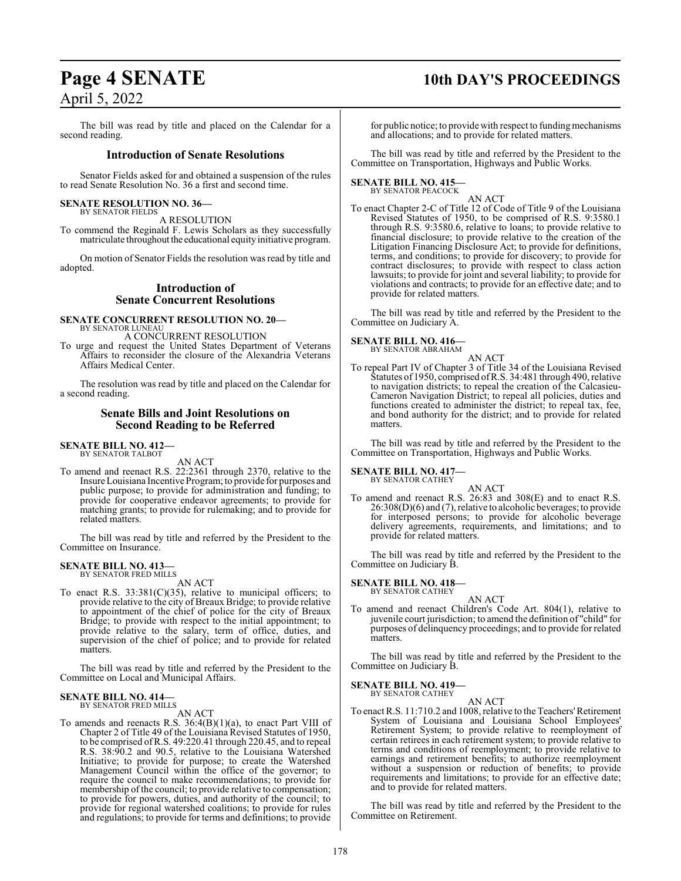# **Page 4 SENATE 10th DAY'S PROCEEDINGS** April 5, 2022

The bill was read by title and placed on the Calendar for a second reading.

#### **Introduction of Senate Resolutions**

Senator Fields asked for and obtained a suspension of the rules to read Senate Resolution No. 36 a first and second time.

#### **SENATE RESOLUTION NO. 36—** BY SENATOR FIELDS

A RESOLUTION

To commend the Reginald F. Lewis Scholars as they successfully matriculate throughout the educational equity initiative program.

On motion of Senator Fields the resolution was read by title and adopted.

#### **Introduction of Senate Concurrent Resolutions**

**SENATE CONCURRENT RESOLUTION NO. 20—** BY SENATOR LUNEAU A CONCURRENT RESOLUTION

To urge and request the United States Department of Veterans Affairs to reconsider the closure of the Alexandria Veterans Affairs Medical Center.

The resolution was read by title and placed on the Calendar for a second reading.

#### **Senate Bills and Joint Resolutions on Second Reading to be Referred**

**SENATE BILL NO. 412—** BY SENATOR TALBOT

AN ACT

To amend and reenact R.S. 22:2361 through 2370, relative to the Insure Louisiana Incentive Program; to provide for purposes and public purpose; to provide for administration and funding; to provide for cooperative endeavor agreements; to provide for matching grants; to provide for rulemaking; and to provide for related matters.

The bill was read by title and referred by the President to the Committee on Insurance.

#### **SENATE BILL NO. 413—** BY SENATOR FRED MILLS

AN ACT

To enact R.S.  $33:381(C)(35)$ , relative to municipal officers; to provide relative to the city of Breaux Bridge; to provide relative to appointment of the chief of police for the city of Breaux Bridge; to provide with respect to the initial appointment; to provide relative to the salary, term of office, duties, and supervision of the chief of police; and to provide for related matters.

The bill was read by title and referred by the President to the Committee on Local and Municipal Affairs.

# **SENATE BILL NO. 414—** BY SENATOR FRED MILLS

AN ACT

To amends and reenacts R.S.  $36:4(B)(1)(a)$ , to enact Part VIII of Chapter 2 of Title 49 of the Louisiana Revised Statutes of 1950, to be comprised ofR.S. 49:220.41 through 220.45, and to repeal R.S. 38:90.2 and 90.5, relative to the Louisiana Watershed Initiative; to provide for purpose; to create the Watershed Management Council within the office of the governor; to require the council to make recommendations; to provide for membership of the council; to provide relative to compensation; to provide for powers, duties, and authority of the council; to provide for regional watershed coalitions; to provide for rules and regulations; to provide for terms and definitions; to provide

for public notice; to provide with respect to funding mechanisms and allocations; and to provide for related matters.

The bill was read by title and referred by the President to the Committee on Transportation, Highways and Public Works.

**SENATE BILL NO. 415—** BY SENATOR PEACOCK

#### AN ACT

To enact Chapter 2-C of Title 12 of Code of Title 9 of the Louisiana Revised Statutes of 1950, to be comprised of R.S. 9:3580.1 through R.S. 9:3580.6, relative to loans; to provide relative to financial disclosure; to provide relative to the creation of the Litigation Financing Disclosure Act; to provide for definitions, terms, and conditions; to provide for discovery; to provide for contract disclosures; to provide with respect to class action lawsuits; to provide for joint and several liability; to provide for violations and contracts; to provide for an effective date; and to provide for related matters.

The bill was read by title and referred by the President to the Committee on Judiciary A.

#### **SENATE BILL NO. 416—** BY SENATOR ABRAHAM

AN ACT To repeal Part IV of Chapter 3 of Title 34 of the Louisiana Revised Statutes of 1950, comprised ofR.S. 34:481 through 490, relative to navigation districts; to repeal the creation of the Calcasieu-Cameron Navigation District; to repeal all policies, duties and functions created to administer the district; to repeal tax, fee, and bond authority for the district; and to provide for related matters.

The bill was read by title and referred by the President to the Committee on Transportation, Highways and Public Works.

# **SENATE BILL NO. 417—**<br>BY SENATOR CATHEY

AN ACT To amend and reenact R.S. 26:83 and 308(E) and to enact R.S. 26:308(D)(6) and (7), relative to alcoholic beverages; to provide for interposed persons; to provide for alcoholic beverage delivery agreements, requirements, and limitations; and to provide for related matters.

The bill was read by title and referred by the President to the Committee on Judiciary B.

#### **SENATE BILL NO. 418—** BY SENATOR CATHEY

AN ACT

To amend and reenact Children's Code Art. 804(1), relative to juvenile court jurisdiction; to amend the definition of "child" for purposes of delinquency proceedings; and to provide for related matters.

The bill was read by title and referred by the President to the Committee on Judiciary B.

**SENATE BILL NO. 419—** BY SENATOR CATHEY

AN ACT

To enact R.S. 11:710.2 and 1008, relative to the Teachers'Retirement System of Louisiana and Louisiana School Employees' Retirement System; to provide relative to reemployment of certain retirees in each retirement system; to provide relative to terms and conditions of reemployment; to provide relative to earnings and retirement benefits; to authorize reemployment without a suspension or reduction of benefits; to provide requirements and limitations; to provide for an effective date; and to provide for related matters.

The bill was read by title and referred by the President to the Committee on Retirement.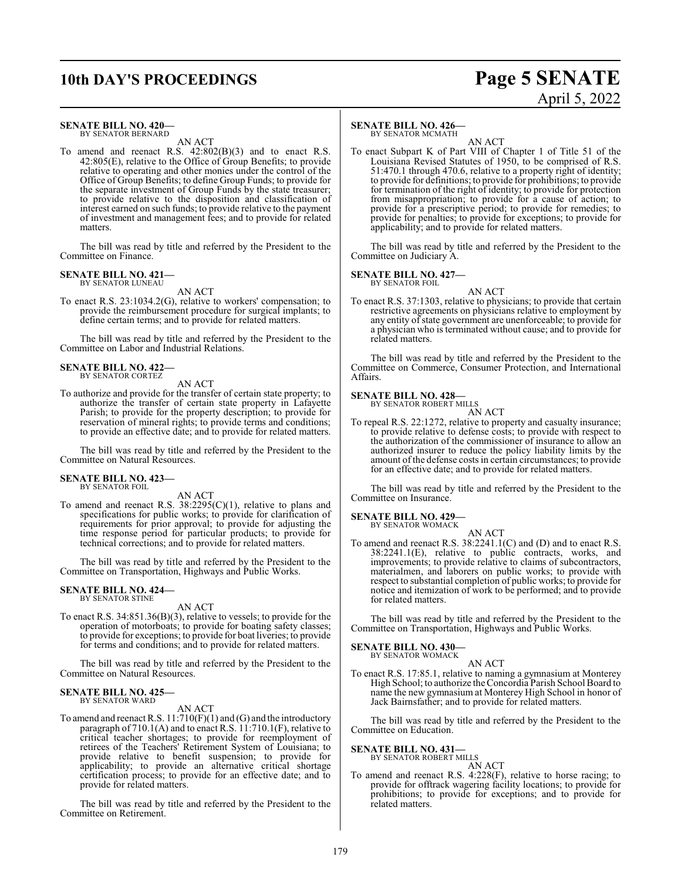# **10th DAY'S PROCEEDINGS Page 5 SENATE**

# April 5, 2022

#### **SENATE BILL NO. 420—**

BY SENATOR BERNARD AN ACT

To amend and reenact R.S. 42:802(B)(3) and to enact R.S. 42:805(E), relative to the Office of Group Benefits; to provide relative to operating and other monies under the control of the Office of Group Benefits; to define Group Funds; to provide for the separate investment of Group Funds by the state treasurer; to provide relative to the disposition and classification of interest earned on such funds; to provide relative to the payment of investment and management fees; and to provide for related matters.

The bill was read by title and referred by the President to the Committee on Finance.

#### **SENATE BILL NO. 421—**

BY SENATOR LUNEAU AN ACT

To enact R.S. 23:1034.2(G), relative to workers' compensation; to provide the reimbursement procedure for surgical implants; to define certain terms; and to provide for related matters.

The bill was read by title and referred by the President to the Committee on Labor and Industrial Relations.

#### **SENATE BILL NO. 422—** BY SENATOR CORTEZ

AN ACT

To authorize and provide for the transfer of certain state property; to authorize the transfer of certain state property in Lafayette Parish; to provide for the property description; to provide for reservation of mineral rights; to provide terms and conditions; to provide an effective date; and to provide for related matters.

The bill was read by title and referred by the President to the Committee on Natural Resources.

#### **SENATE BILL NO. 423—** BY SENATOR FOIL

AN ACT

To amend and reenact R.S. 38:2295(C)(1), relative to plans and specifications for public works; to provide for clarification of requirements for prior approval; to provide for adjusting the time response period for particular products; to provide for technical corrections; and to provide for related matters.

The bill was read by title and referred by the President to the Committee on Transportation, Highways and Public Works.

#### **SENATE BILL NO. 424—** BY SENATOR STINE

AN ACT

To enact R.S. 34:851.36(B)(3), relative to vessels; to provide for the operation of motorboats; to provide for boating safety classes; to provide for exceptions; to provide for boat liveries; to provide for terms and conditions; and to provide for related matters.

The bill was read by title and referred by the President to the Committee on Natural Resources.

#### **SENATE BILL NO. 425—** BY SENATOR WARD

AN ACT

To amend and reenact R.S. 11:710(F)(1) and (G) and the introductory paragraph of 710.1(A) and to enact R.S. 11:710.1(F), relative to critical teacher shortages; to provide for reemployment of retirees of the Teachers' Retirement System of Louisiana; to provide relative to benefit suspension; to provide for applicability; to provide an alternative critical shortage certification process; to provide for an effective date; and to provide for related matters.

The bill was read by title and referred by the President to the Committee on Retirement.

#### **SENATE BILL NO. 426—**

BY SENATOR MCMATH

AN ACT To enact Subpart K of Part VIII of Chapter 1 of Title 51 of the Louisiana Revised Statutes of 1950, to be comprised of R.S. 51:470.1 through 470.6, relative to a property right of identity; to provide for definitions; to provide for prohibitions; to provide for termination of the right of identity; to provide for protection from misappropriation; to provide for a cause of action; to provide for a prescriptive period; to provide for remedies; to provide for penalties; to provide for exceptions; to provide for applicability; and to provide for related matters.

The bill was read by title and referred by the President to the Committee on Judiciary A.

#### **SENATE BILL NO. 427—**

BY SENATOR FOIL AN ACT

To enact R.S. 37:1303, relative to physicians; to provide that certain restrictive agreements on physicians relative to employment by any entity of state government are unenforceable; to provide for a physician who is terminated without cause; and to provide for related matters.

The bill was read by title and referred by the President to the Committee on Commerce, Consumer Protection, and International Affairs.

#### **SENATE BILL NO. 428—**

BY SENATOR ROBERT MILLS AN ACT

To repeal R.S. 22:1272, relative to property and casualty insurance; to provide relative to defense costs; to provide with respect to the authorization of the commissioner of insurance to allow an authorized insurer to reduce the policy liability limits by the amount of the defense costs in certain circumstances; to provide for an effective date; and to provide for related matters.

The bill was read by title and referred by the President to the Committee on Insurance.

#### **SENATE BILL NO. 429**

BY SENATOR WOMACK

AN ACT To amend and reenact R.S. 38:2241.1(C) and (D) and to enact R.S. 38:2241.1(E), relative to public contracts, works, and improvements; to provide relative to claims of subcontractors, materialmen, and laborers on public works; to provide with respect to substantial completion of public works; to provide for notice and itemization of work to be performed; and to provide for related matters.

The bill was read by title and referred by the President to the Committee on Transportation, Highways and Public Works.

# **SENATE BILL NO. 430—** BY SENATOR WOMACK

AN ACT

To enact R.S. 17:85.1, relative to naming a gymnasium at Monterey High School; to authorize theConcordia Parish School Board to name the new gymnasium at Monterey High School in honor of Jack Bairnsfather; and to provide for related matters.

The bill was read by title and referred by the President to the Committee on Education.

#### **SENATE BILL NO. 431—**

BY SENATOR ROBERT MILLS AN ACT

To amend and reenact R.S. 4:228(F), relative to horse racing; to provide for offtrack wagering facility locations; to provide for prohibitions; to provide for exceptions; and to provide for related matters.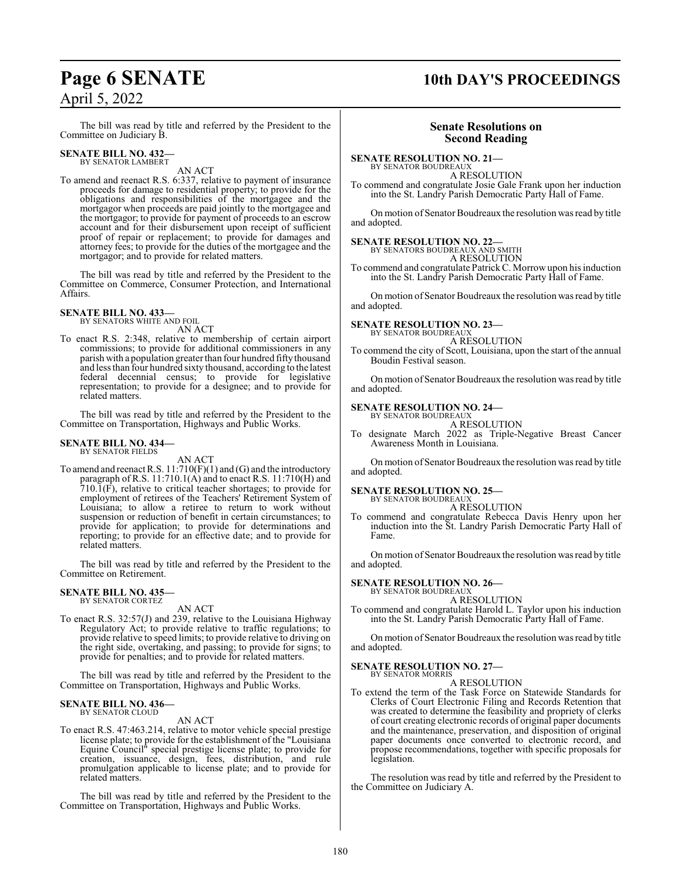# **Page 6 SENATE 10th DAY'S PROCEEDINGS**

The bill was read by title and referred by the President to the Committee on Judiciary B.

#### **SENATE BILL NO. 432—** BY SENATOR LAMBERT

AN ACT

To amend and reenact R.S. 6:337, relative to payment of insurance proceeds for damage to residential property; to provide for the obligations and responsibilities of the mortgagee and the mortgagor when proceeds are paid jointly to the mortgagee and the mortgagor; to provide for payment of proceeds to an escrow account and for their disbursement upon receipt of sufficient proof of repair or replacement; to provide for damages and attorney fees; to provide for the duties of the mortgagee and the mortgagor; and to provide for related matters.

The bill was read by title and referred by the President to the Committee on Commerce, Consumer Protection, and International Affairs.

#### **SENATE BILL NO. 433—**

BY SENATORS WHITE AND FOIL AN ACT

To enact R.S. 2:348, relative to membership of certain airport commissions; to provide for additional commissioners in any parish with a population greater than four hundred fifty thousand and less than four hundred sixty thousand, according to the latest federal decennial census; to provide for legislative representation; to provide for a designee; and to provide for related matters.

The bill was read by title and referred by the President to the Committee on Transportation, Highways and Public Works.

#### **SENATE BILL NO. 434—**

BY SENATOR FIELDS

AN ACT

To amend and reenact R.S. 11:710(F)(1) and (G) and the introductory paragraph of R.S. 11:710.1(A) and to enact R.S. 11:710(H) and  $710.\overline{1}$ (F), relative to critical teacher shortages; to provide for employment of retirees of the Teachers' Retirement System of Louisiana; to allow a retiree to return to work without suspension or reduction of benefit in certain circumstances; to provide for application; to provide for determinations and reporting; to provide for an effective date; and to provide for related matters.

The bill was read by title and referred by the President to the Committee on Retirement.

#### **SENATE BILL NO. 435—** BY SENATOR CORTEZ

AN ACT

To enact R.S. 32:57(J) and 239, relative to the Louisiana Highway Regulatory Act; to provide relative to traffic regulations; to provide relative to speed limits; to provide relative to driving on the right side, overtaking, and passing; to provide for signs; to provide for penalties; and to provide for related matters.

The bill was read by title and referred by the President to the Committee on Transportation, Highways and Public Works.

#### **SENATE BILL NO. 436—** BY SENATOR CLOUD

#### AN ACT

To enact R.S. 47:463.214, relative to motor vehicle special prestige license plate; to provide for the establishment of the "Louisiana Equine Council" special prestige license plate; to provide for creation, issuance, design, fees, distribution, and rule promulgation applicable to license plate; and to provide for related matters.

The bill was read by title and referred by the President to the Committee on Transportation, Highways and Public Works.

#### **Senate Resolutions on Second Reading**

**SENATE RESOLUTION NO. 21—**

BY SENATOR BOUDREAUX A RESOLUTION

To commend and congratulate Josie Gale Frank upon her induction into the St. Landry Parish Democratic Party Hall of Fame.

On motion of Senator Boudreaux the resolution was read by title and adopted.

## **SENATE RESOLUTION NO. 22—**<br>BY SENATORS BOUDREAUX AND SMITH

A RESOLUTION

To commend and congratulate PatrickC. Morrow upon his induction into the St. Landry Parish Democratic Party Hall of Fame.

On motion of Senator Boudreaux the resolution was read by title and adopted.

# **SENATE RESOLUTION NO. 23—** BY SENATOR BOUDREAUX

A RESOLUTION

To commend the city of Scott, Louisiana, upon the start of the annual Boudin Festival season.

On motion of Senator Boudreaux the resolution was read by title and adopted.

#### **SENATE RESOLUTION NO. 24—** BY SENATOR BOUDREAUX

A RESOLUTION

To designate March 2022 as Triple-Negative Breast Cancer Awareness Month in Louisiana.

On motion of Senator Boudreaux the resolution was read by title and adopted.

#### **SENATE RESOLUTION NO. 25—**

BY SENATOR BOUDREAUX A RESOLUTION

To commend and congratulate Rebecca Davis Henry upon her induction into the St. Landry Parish Democratic Party Hall of Fame.

On motion of Senator Boudreaux the resolution was read by title and adopted.

#### **SENATE RESOLUTION NO. 26—**

BY SENATOR BOUDREAUX

A RESOLUTION To commend and congratulate Harold L. Taylor upon his induction into the St. Landry Parish Democratic Party Hall of Fame.

On motion of Senator Boudreaux the resolution was read by title and adopted.

#### **SENATE RESOLUTION NO. 27—** BY SENATOR MORRIS

A RESOLUTION

To extend the term of the Task Force on Statewide Standards for Clerks of Court Electronic Filing and Records Retention that was created to determine the feasibility and propriety of clerks of court creating electronic records of original paper documents and the maintenance, preservation, and disposition of original paper documents once converted to electronic record, and propose recommendations, together with specific proposals for legislation.

The resolution was read by title and referred by the President to the Committee on Judiciary A.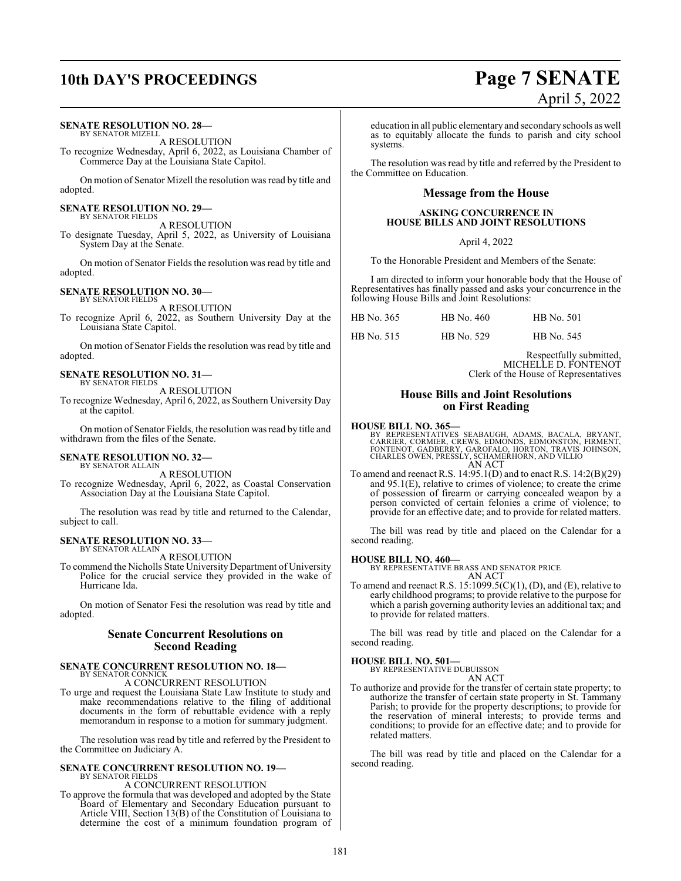# **10th DAY'S PROCEEDINGS Page 7 SENATE**

#### **SENATE RESOLUTION NO. 28—**

BY SENATOR MIZELL A RESOLUTION

To recognize Wednesday, April 6, 2022, as Louisiana Chamber of Commerce Day at the Louisiana State Capitol.

On motion of Senator Mizell the resolution was read by title and adopted.

#### **SENATE RESOLUTION NO. 29—** BY SENATOR FIELDS

A RESOLUTION

To designate Tuesday, April 5, 2022, as University of Louisiana System Day at the Senate.

On motion of Senator Fields the resolution was read by title and adopted.

#### **SENATE RESOLUTION NO. 30—**

BY SENATOR FIELDS A RESOLUTION

To recognize April 6, 2022, as Southern University Day at the Louisiana State Capitol.

On motion of Senator Fields the resolution was read by title and adopted.

#### **SENATE RESOLUTION NO. 31—**

BY SENATOR FIELDS A RESOLUTION

To recognize Wednesday, April 6, 2022, as Southern University Day at the capitol.

On motion of Senator Fields, the resolution was read by title and withdrawn from the files of the Senate.

#### **SENATE RESOLUTION NO. 32—**

BY SENATOR ALLAIN A RESOLUTION

To recognize Wednesday, April 6, 2022, as Coastal Conservation Association Day at the Louisiana State Capitol.

The resolution was read by title and returned to the Calendar, subject to call.

#### **SENATE RESOLUTION NO. 33—** BY SENATOR ALLAIN

A RESOLUTION

To commend the Nicholls State University Department of University Police for the crucial service they provided in the wake of Hurricane Ida.

On motion of Senator Fesi the resolution was read by title and adopted.

#### **Senate Concurrent Resolutions on Second Reading**

#### **SENATE CONCURRENT RESOLUTION NO. 18—** BY SENATOR CONNICK

A CONCURRENT RESOLUTION

To urge and request the Louisiana State Law Institute to study and make recommendations relative to the filing of additional documents in the form of rebuttable evidence with a reply memorandum in response to a motion for summary judgment.

The resolution was read by title and referred by the President to the Committee on Judiciary A.

#### **SENATE CONCURRENT RESOLUTION NO. 19—** BY SENATOR FIELDS

A CONCURRENT RESOLUTION

To approve the formula that was developed and adopted by the State Board of Elementary and Secondary Education pursuant to Article VIII, Section 13(B) of the Constitution of Louisiana to determine the cost of a minimum foundation program of

education in all public elementary and secondary schools as well as to equitably allocate the funds to parish and city school systems.

The resolution was read by title and referred by the President to the Committee on Education.

#### **Message from the House**

#### **ASKING CONCURRENCE IN HOUSE BILLS AND JOINT RESOLUTIONS**

April 4, 2022

To the Honorable President and Members of the Senate:

I am directed to inform your honorable body that the House of Representatives has finally passed and asks your concurrence in the following House Bills and Joint Resolutions:

| HB No. 365 | HB No. 460 | HB No. 501 |
|------------|------------|------------|
| HB No. 515 | HB No. 529 | HB No. 545 |

Respectfully submitted, MICHELLE D. FONTENOT Clerk of the House of Representatives

#### **House Bills and Joint Resolutions on First Reading**

#### **HOUSE BILL NO. 365—**

BY REPRESENTATIVES SEABAUGH, ADAMS, BACALA, BRYANT,<br>CARRIER, CORMIER, CREWS, EDMONDS, EDMONSTON, FIRMENT,<br>FONTENOT, GADBERRY, GAROFALO, HORTON, TRAVIS JOHNSON,<br>CHARLES OWEN, PRESSLY, SCHAMERHORN, AND VILLIO AN ACT

To amend and reenact R.S. 14:95.1(D) and to enact R.S. 14:2(B)(29) and 95.1(E), relative to crimes of violence; to create the crime of possession of firearm or carrying concealed weapon by a person convicted of certain felonies a crime of violence; to provide for an effective date; and to provide for related matters.

The bill was read by title and placed on the Calendar for a second reading.

#### **HOUSE BILL NO. 460—**

BY REPRESENTATIVE BRASS AND SENATOR PRICE AN ACT

To amend and reenact R.S. 15:1099.5(C)(1), (D), and (E), relative to early childhood programs; to provide relative to the purpose for which a parish governing authority levies an additional tax; and to provide for related matters.

The bill was read by title and placed on the Calendar for a second reading.

**HOUSE BILL NO. 501—**

BY REPRESENTATIVE DUBUISSON AN ACT

To authorize and provide for the transfer of certain state property; to authorize the transfer of certain state property in St. Tammany Parish; to provide for the property descriptions; to provide for the reservation of mineral interests; to provide terms and conditions; to provide for an effective date; and to provide for related matters.

The bill was read by title and placed on the Calendar for a second reading.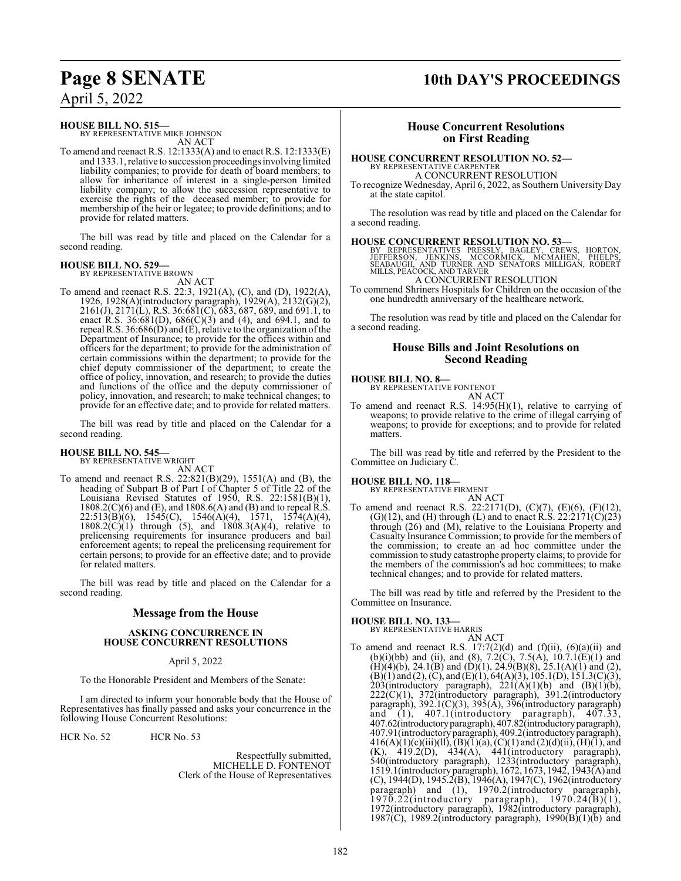#### **HOUSE BILL NO. 515—**

BY REPRESENTATIVE MIKE JOHNSON AN ACT

To amend and reenact R.S. 12:1333(A) and to enact R.S. 12:1333(E) and 1333.1, relative to succession proceedings involving limited liability companies; to provide for death of board members; to allow for inheritance of interest in a single-person limited liability company; to allow the succession representative to exercise the rights of the deceased member; to provide for membership of the heir or legatee; to provide definitions; and to provide for related matters.

The bill was read by title and placed on the Calendar for a second reading.

# **HOUSE BILL NO. 529—** BY REPRESENTATIVE BROWN

AN ACT

To amend and reenact R.S. 22:3, 1921(A), (C), and (D), 1922(A), 1926, 1928(A)(introductory paragraph), 1929(A), 2132(G)(2), 2161(J), 2171(L), R.S. 36:681(C), 683, 687, 689, and 691.1, to enact R.S. 36:681(D),  $686(C)(3)$  and (4), and 694.1, and to repeal R.S. 36:686(D) and (E), relative to the organization of the Department of Insurance; to provide for the offices within and officers for the department; to provide for the administration of certain commissions within the department; to provide for the chief deputy commissioner of the department; to create the office of policy, innovation, and research; to provide the duties and functions of the office and the deputy commissioner of policy, innovation, and research; to make technical changes; to provide for an effective date; and to provide for related matters.

The bill was read by title and placed on the Calendar for a second reading.

# **HOUSE BILL NO. 545—** BY REPRESENTATIVE WRIGHT

AN ACT

To amend and reenact R.S. 22:821(B)(29), 1551(A) and (B), the heading of Subpart B of Part I of Chapter 5 of Title 22 of the Louisiana Revised Statutes of 1950, R.S. 22:1581(B)(1),  $1808.2(C)(6)$  and (E), and  $1808.6(A)$  and (B) and to repeal R.S. 22:513(B)(6), 1545(C), 1546(A)(4), 1571, 1574(A)(4),  $1808.2(C)(1)$  through (5), and  $1808.3(A)(4)$ , relative to prelicensing requirements for insurance producers and bail enforcement agents; to repeal the prelicensing requirement for certain persons; to provide for an effective date; and to provide for related matters.

The bill was read by title and placed on the Calendar for a second reading.

#### **Message from the House**

#### **ASKING CONCURRENCE IN HOUSE CONCURRENT RESOLUTIONS**

April 5, 2022

To the Honorable President and Members of the Senate:

I am directed to inform your honorable body that the House of Representatives has finally passed and asks your concurrence in the following House Concurrent Resolutions:

HCR No. 52 HCR No. 53

Respectfully submitted, MICHELLE D. FONTENOT Clerk of the House of Representatives

# **Page 8 SENATE 10th DAY'S PROCEEDINGS**

### **House Concurrent Resolutions on First Reading**

#### **HOUSE CONCURRENT RESOLUTION NO. 52—**

BY REPRESENTATIVE CARPENTER

A CONCURRENT RESOLUTION To recognize Wednesday, April 6, 2022, as Southern University Day at the state capitol.

The resolution was read by title and placed on the Calendar for a second reading.

**HOUSE CONCURRENT RESOLUTION NO. 53—**<br>BY REPRESENTATIVES PRESSLY, BAGLEY, CREWS, HORTON, JEFFERSON, JENKINS, MCOORMICK, MCMAHEN, PHELPS,<br>SEABAUGH, AND TURNER AND SENATORS MILLIGAN, ROBERT<br>MILLS, PEACOCK, AND TARVER<br>A CONCU

To commend Shriners Hospitals for Children on the occasion of the one hundredth anniversary of the healthcare network.

The resolution was read by title and placed on the Calendar for a second reading.

#### **House Bills and Joint Resolutions on Second Reading**

#### **HOUSE BILL NO. 8—**

BY REPRESENTATIVE FONTENOT

AN ACT To amend and reenact R.S. 14:95(H)(1), relative to carrying of weapons; to provide relative to the crime of illegal carrying of weapons; to provide for exceptions; and to provide for related matters.

The bill was read by title and referred by the President to the Committee on Judiciary C.

#### **HOUSE BILL NO. 118—**

BY REPRESENTATIVE FIRMENT

AN ACT To amend and reenact R.S. 22:2171(D), (C)(7), (E)(6), (F)(12),  $(G)(12)$ , and  $(H)$  through  $(L)$  and to enact R.S. 22:2171 $(C)(23)$ through (26) and (M), relative to the Louisiana Property and Casualty Insurance Commission; to provide for the members of the commission; to create an ad hoc committee under the commission to study catastrophe property claims; to provide for the members of the commission's ad hoc committees; to make technical changes; and to provide for related matters.

The bill was read by title and referred by the President to the Committee on Insurance.

#### **HOUSE BILL NO. 133—**

BY REPRESENTATIVE HARRIS

AN ACT To amend and reenact R.S.  $17:7(2)(d)$  and  $(f)(ii)$ ,  $(6)(a)(ii)$  and (b)(i)(bb) and (ii), and (8), 7.2(C), 7.5(A),  $10.7.1(E)(1)$  and  $(H)(4)(b)$ , 24.1 $(B)$  and  $(D)(1)$ , 24.9 $(B)(8)$ , 25.1 $(A)(1)$  and  $(2)$ ,  $(B)(1)$  and  $(2)$ ,  $(C)$ , and  $(E)(1)$ , 64(A)(3), 105.1(D), 151.3(C)(3), 203(introductory paragraph),  $221(A)(1)(b)$  and  $(B)(1)(b)$ , 222(C)(1), 372(introductory paragraph), 391.2(introductory paragraph), 392.1(C)(3), 395(A), 396(introductory paragraph) and (1), 407.1(introductory paragraph), 407.33, 407.62(introductoryparagraph), 407.82(introductoryparagraph), 407.91(introductoryparagraph), 409.2(introductoryparagraph),  $416(A)(1)(c)(iii)(ll), (B)(1)(a), (C)(1)$  and  $(2)(d)(ii), (H)(1),$  and  $(K)$ , 419.2(D), 434(A), 441(introductory paragraph), 540(introductory paragraph), 1233(introductory paragraph), 1519.1(introductoryparagraph), 1672, 1673, 1942, 1943(A) and (C), 1944(D), 1945.2(B), 1946(A), 1947(C), 1962(introductory paragraph) and (1), 1970.2(introductory paragraph),  $1970.22$ (introductory paragraph),  $1970.24(B(1),$ 1972(introductory paragraph), 1982(introductory paragraph), 1987(C), 1989.2(introductory paragraph), 1990(B)(1)(b) and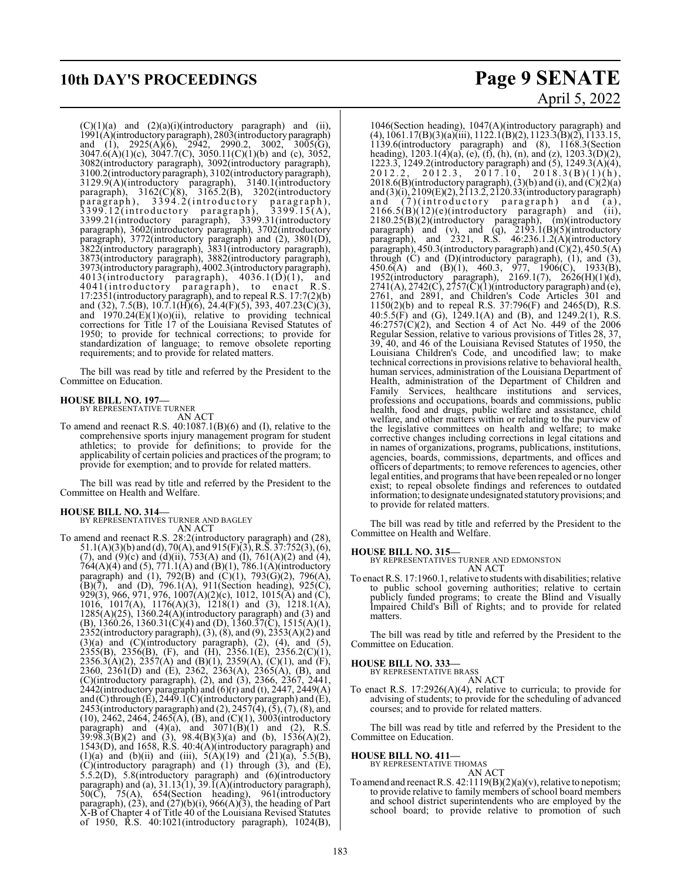# **10th DAY'S PROCEEDINGS Page 9 SENATE**

 $(C)(1)(a)$  and  $(2)(a)(i)$ (introductory paragraph) and (ii), 1991(A)(introductoryparagraph), 2803(introductory paragraph) and (1), 2925(A)(6), 2942, 2990.2, 3002, 3005(G), 3047.6(A)(1)(c), 3047.7(C), 3050.11(C)(1)(b) and (c), 3052, 3082(introductory paragraph), 3092(introductory paragraph), 3100.2(introductory paragraph), 3102(introductory paragraph), 3129.9(A)(introductory paragraph), 3140.1(introductory paragraph), 3162(C)(8), 3165.2(B), 3202(introductory paragraph), 3394.2(introductory paragraph), 3399.12(introductory paragraph), 3399.15(A), 3399.21(introductory paragraph), 3399.31(introductory paragraph), 3602(introductory paragraph), 3702(introductory paragraph), 3772(introductory paragraph) and (2), 3801(D), 3822(introductory paragraph), 3831(introductory paragraph), 3873(introductory paragraph), 3882(introductory paragraph), 3973(introductory paragraph), 4002.3(introductory paragraph), 4013(introductory paragraph), 4036.1(D)(1), and 4041(introductory paragraph), to enact R.S. 17:2351(introductory paragraph), and to repeal R.S. 17:7(2)(b) and (32), 7.5(B), 10.7.1(H)(6), 24.4(F)(5), 393, 407.23(C)(3), and  $1970.24(E)(1)(o)(ii)$ , relative to providing technical corrections for Title 17 of the Louisiana Revised Statutes of 1950; to provide for technical corrections; to provide for standardization of language; to remove obsolete reporting requirements; and to provide for related matters.

The bill was read by title and referred by the President to the Committee on Education.

# **HOUSE BILL NO. 197—** BY REPRESENTATIVE TURNER

AN ACT

To amend and reenact R.S. 40:1087.1(B)(6) and (I), relative to the comprehensive sports injury management program for student athletics; to provide for definitions; to provide for the applicability of certain policies and practices of the program; to provide for exemption; and to provide for related matters.

The bill was read by title and referred by the President to the Committee on Health and Welfare.

#### **HOUSE BILL NO. 314—**

BY REPRESENTATIVES TURNER AND BAGLEY AN ACT

To amend and reenact R.S. 28:2(introductory paragraph) and (28), 51.1(A)(3)(b) and (d), 70(A), and 915(F)(3), R.S. 37:752(3), (6), (7), and  $(9)(c)$  and  $(d)(ii)$ , 753(A) and  $(I)$ , 761(A)(2) and (4), 764(A)(4) and (5), 771.1(A) and (B)(1), 786.1(A)(introductory paragraph) and (1), 792(B) and (C)(1), 793(G)(2), 796(A),  $(B)(\bar{7})$ , and  $(D)$ , 796.1(A), 911(Section heading), 925(C), 929(3), 966, 971, 976, 1007(A)(2)(c), 1012, 1015(A) and (C), 1016, 1017(A), 1176(A)(3), 1218(1) and (3), 1218.1(A),  $1285(A)(25)$ ,  $1360.24(A)(introducing paragraph)$  and  $(3)$  and (B), 1360.26, 1360.31(C)(4) and (D), 1360.37(C), 1515(A)(1), 2352(introductory paragraph), (3), (8), and (9), 2353(A)(2) and  $(3)(a)$  and  $(C)(introducing paragramh), (2), (4), and (5),$  $2355(B)$ ,  $2356(B)$ , (F), and (H),  $2356.1(E)$ ,  $2356.2(C)(1)$ , 2356.3(A)(2), 2357(A) and (B)(1), 2359(A), (C)(1), and (F), 2360, 2361(D) and (E), 2362, 2363(A), 2365(A), (B), and (C)(introductory paragraph), (2), and (3), 2366, 2367, 2441, 2442(introductory paragraph) and  $(6)$ (r) and (t), 2447, 2449(A) and (C) through (E), 2449.1(C)(introductory paragraph) and (E), 2453(introductory paragraph) and  $(2)$ , 2457 $(4)$ ,  $(5)$ ,  $(7)$ ,  $(8)$ , and  $(10)$ , 2462, 2464, 2465(A),  $(B)$ , and  $(C)(1)$ , 3003(introductory paragraph) and  $(4)(a)$ , and  $3071(B)(1)$  and  $(2)$ , R.S.  $39:98.3(B)(2)$  and  $(3)$ ,  $98.4(B)(3)(a)$  and  $(b)$ ,  $1536(A)(2)$ , 1543(D), and 1658, R.S. 40:4(A)(introductory paragraph) and (1)(a) and (b)(ii) and (iii),  $5(A)(19)$  and  $(21)(a)$ ,  $5.5(B)$ , (C)(introductory paragraph) and (1) through (3), and (E), 5.5.2(D), 5.8(introductory paragraph) and (6)(introductory paragraph) and (a), 31.13(1), 39.1(A)(introductory paragraph), 50(C), 75(A), 654(Section heading), 961(introductory paragraph),  $(23)$ , and  $(27)(b)(i)$ ,  $966(A)(3)$ , the heading of Part X-B of Chapter 4 of Title 40 of the Louisiana Revised Statutes of 1950, R.S. 40:1021(introductory paragraph), 1024(B),

# April 5, 2022

1046(Section heading), 1047(A)(introductory paragraph) and (4), 1061.17(B)(3)(a)(iii), 1122.1(B)(2), 1123.3(B)(2), 1133.15, 1139.6(introductory paragraph) and (8), 1168.3(Section heading), 1203.1(4)(a), (e), (f), (h), (n), and (z), 1203.3(D)(2), 1223.3, 1249.2(introductory paragraph) and (5), 1249.3(A)(4),  $2012.2, 2012.3, 2017.10, 2018.3(B)(1)(h),$ 2018.6(B)(introductory paragraph), (3)(b) and (i), and  $(C)(2)(a)$ and (3)(i), 2109(E)(2), 2113.2, 2120.33(introductory paragraph) and  $(7)(\text{introducing paragraph})$  and  $(a)$ ,<br>2166.5(B)(12)(e)(introductory paragraph) and (ii),  $2166.5(B)(12)(e)$ (introductory paragraph) and 2180.25(B)(2)(introductory paragraph), (m)(introductory paragraph) and (v), and (q), 2193.1(B)(5)(introductory paragraph), and 2321, R.S. 46:236.1.2(A)(introductory paragraph), 450.3(introductory paragraph) and  $(C)(2)$ , 450.5(A) through (C) and (D)(introductory paragraph), (1), and (3),  $450.6(A)$  and  $(B)(1)$ ,  $460.3$ ,  $977$ ,  $1906(C)$ ,  $1933(B)$ , 1952(introductory paragraph), 2169.1(7), 2626(H)(1)(d),  $2741(A), 2742(C), 2757(\bar{C})(1)$ (introductory paragraph) and (e), 2761, and 2891, and Children's Code Articles 301 and 1150(2)(b) and to repeal R.S. 37:796(F) and 2465(D), R.S. 40:5.5(F) and (G), 1249.1(A) and (B), and 1249.2(1), R.S.  $46:2757(C)(2)$ , and Section 4 of Act No. 449 of the 2006 Regular Session, relative to various provisions of Titles 28, 37, 39, 40, and 46 of the Louisiana Revised Statutes of 1950, the Louisiana Children's Code, and uncodified law; to make technical corrections in provisions relative to behavioral health, human services, administration of the Louisiana Department of Health, administration of the Department of Children and Family Services, healthcare institutions and services, professions and occupations, boards and commissions, public health, food and drugs, public welfare and assistance, child welfare, and other matters within or relating to the purview of the legislative committees on health and welfare; to make corrective changes including corrections in legal citations and in names of organizations, programs, publications, institutions, agencies, boards, commissions, departments, and offices and officers of departments; to remove references to agencies, other legal entities, and programs that have been repealed or no longer exist; to repeal obsolete findings and references to outdated information; to designate undesignated statutoryprovisions; and to provide for related matters.

The bill was read by title and referred by the President to the Committee on Health and Welfare.

#### **HOUSE BILL NO. 315—**

BY REPRESENTATIVES TURNER AND EDMONSTON

AN ACT To enact R.S. 17:1960.1, relative to students with disabilities; relative to public school governing authorities; relative to certain publicly funded programs; to create the Blind and Visually Impaired Child's Bill of Rights; and to provide for related matters.

The bill was read by title and referred by the President to the Committee on Education.

# **HOUSE BILL NO. 333—** BY REPRESENTATIVE BRASS

AN ACT To enact R.S. 17:2926(A)(4), relative to curricula; to provide for advising of students; to provide for the scheduling of advanced courses; and to provide for related matters.

The bill was read by title and referred by the President to the Committee on Education.

## **HOUSE BILL NO. 411—** BY REPRESENTATIVE THOMAS

AN ACT

To amend and reenact R.S. 42:1119(B)(2)(a)(v), relative to nepotism; to provide relative to family members of school board members and school district superintendents who are employed by the school board; to provide relative to promotion of such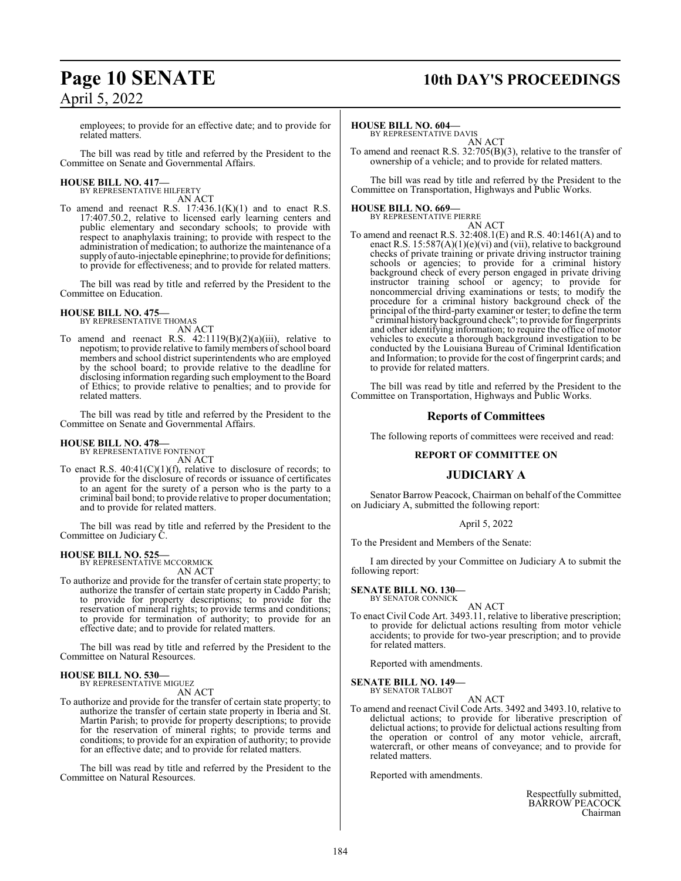# **Page 10 SENATE** 10th DAY'S PROCEEDINGS

employees; to provide for an effective date; and to provide for related matters.

The bill was read by title and referred by the President to the Committee on Senate and Governmental Affairs.

# **HOUSE BILL NO. 417—** BY REPRESENTATIVE HILFERTY

AN ACT

To amend and reenact R.S.  $17:436.1(K)(1)$  and to enact R.S. 17:407.50.2, relative to licensed early learning centers and public elementary and secondary schools; to provide with respect to anaphylaxis training; to provide with respect to the administration of medication; to authorize the maintenance of a supply of auto-injectable epinephrine; to provide for definitions; to provide for effectiveness; and to provide for related matters.

The bill was read by title and referred by the President to the Committee on Education.

### **HOUSE BILL NO. 475—**

BY REPRESENTATIVE THOMAS AN ACT

To amend and reenact R.S. 42:1119(B)(2)(a)(iii), relative to nepotism; to provide relative to family members of school board members and school district superintendents who are employed by the school board; to provide relative to the deadline for disclosing information regarding such employment to the Board of Ethics; to provide relative to penalties; and to provide for related matters.

The bill was read by title and referred by the President to the Committee on Senate and Governmental Affairs.

#### **HOUSE BILL NO. 478—**

BY REPRESENTATIVE FONTENOT AN ACT

To enact R.S.  $40:41(C)(1)(f)$ , relative to disclosure of records; to provide for the disclosure of records or issuance of certificates to an agent for the surety of a person who is the party to a criminal bail bond; to provide relative to proper documentation; and to provide for related matters.

The bill was read by title and referred by the President to the Committee on Judiciary C.

#### **HOUSE BILL NO. 525—**

BY REPRESENTATIVE MCCORMICK AN ACT

To authorize and provide for the transfer of certain state property; to authorize the transfer of certain state property in Caddo Parish; to provide for property descriptions; to provide for the reservation of mineral rights; to provide terms and conditions; to provide for termination of authority; to provide for an effective date; and to provide for related matters.

The bill was read by title and referred by the President to the Committee on Natural Resources.

#### **HOUSE BILL NO. 530—** BY REPRESENTATIVE MIGUEZ

AN ACT

To authorize and provide for the transfer of certain state property; to authorize the transfer of certain state property in Iberia and St. Martin Parish; to provide for property descriptions; to provide for the reservation of mineral rights; to provide terms and conditions; to provide for an expiration of authority; to provide for an effective date; and to provide for related matters.

The bill was read by title and referred by the President to the Committee on Natural Resources.

#### **HOUSE BILL NO. 604—**

BY REPRESENTATIVE DAVIS AN ACT

To amend and reenact R.S. 32:705(B)(3), relative to the transfer of ownership of a vehicle; and to provide for related matters.

The bill was read by title and referred by the President to the Committee on Transportation, Highways and Public Works.

#### **HOUSE BILL NO. 669—**

BY REPRESENTATIVE PIERRE AN ACT

To amend and reenact R.S. 32:408.1(E) and R.S. 40:1461(A) and to enact R.S. 15:587(A)(1)(e)(vi) and (vii), relative to background checks of private training or private driving instructor training schools or agencies; to provide for a criminal history background check of every person engaged in private driving instructor training school or agency; to provide for noncommercial driving examinations or tests; to modify the procedure for a criminal history background check of the principal of the third-party examiner or tester; to define the term " criminal history background check"; to provide for fingerprints and other identifying information; to require the office of motor vehicles to execute a thorough background investigation to be conducted by the Louisiana Bureau of Criminal Identification and Information; to provide for the cost offingerprint cards; and to provide for related matters.

The bill was read by title and referred by the President to the Committee on Transportation, Highways and Public Works.

#### **Reports of Committees**

The following reports of committees were received and read:

#### **REPORT OF COMMITTEE ON**

#### **JUDICIARY A**

Senator Barrow Peacock, Chairman on behalf of the Committee on Judiciary A, submitted the following report:

#### April 5, 2022

To the President and Members of the Senate:

I am directed by your Committee on Judiciary A to submit the following report:

**SENATE BILL NO. 130—** BY SENATOR CONNICK

AN ACT

To enact Civil Code Art. 3493.11, relative to liberative prescription; to provide for delictual actions resulting from motor vehicle accidents; to provide for two-year prescription; and to provide for related matters.

Reported with amendments.

**SENATE BILL NO. 149—**<br>BY SENATOR TALBOT

AN ACT

To amend and reenact Civil Code Arts. 3492 and 3493.10, relative to delictual actions; to provide for liberative prescription of delictual actions; to provide for delictual actions resulting from the operation or control of any motor vehicle, aircraft, watercraft, or other means of conveyance; and to provide for related matters.

Reported with amendments.

Respectfully submitted, BARROW PEACOCK Chairman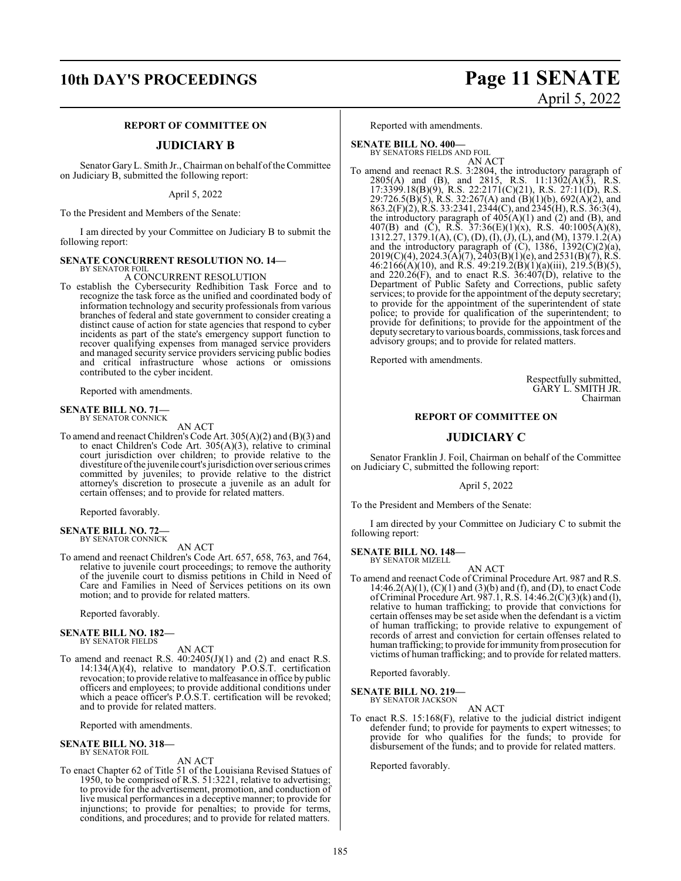#### **REPORT OF COMMITTEE ON**

#### **JUDICIARY B**

Senator GaryL. Smith Jr., Chairman on behalf ofthe Committee on Judiciary B, submitted the following report:

April 5, 2022

To the President and Members of the Senate:

I am directed by your Committee on Judiciary B to submit the following report:

#### **SENATE CONCURRENT RESOLUTION NO. 14—**

BY SENATOR FOIL A CONCURRENT RESOLUTION

To establish the Cybersecurity Redhibition Task Force and to recognize the task force as the unified and coordinated body of information technology and security professionals from various branches of federal and state government to consider creating a distinct cause of action for state agencies that respond to cyber incidents as part of the state's emergency support function to recover qualifying expenses from managed service providers and managed security service providers servicing public bodies and critical infrastructure whose actions or omissions contributed to the cyber incident.

Reported with amendments.

# **SENATE BILL NO. 71—**<br>BY SENATOR CONNICK

AN ACT

To amend and reenact Children's Code Art. 305(A)(2) and (B)(3) and to enact Children's Code Art. 305(A)(3), relative to criminal court jurisdiction over children; to provide relative to the divestiture ofthe juvenile court's jurisdiction over serious crimes committed by juveniles; to provide relative to the district attorney's discretion to prosecute a juvenile as an adult for certain offenses; and to provide for related matters.

Reported favorably.

#### **SENATE BILL NO. 72—** BY SENATOR CONNICK

AN ACT

To amend and reenact Children's Code Art. 657, 658, 763, and 764, relative to juvenile court proceedings; to remove the authority of the juvenile court to dismiss petitions in Child in Need of Care and Families in Need of Services petitions on its own motion; and to provide for related matters.

Reported favorably.

#### **SENATE BILL NO. 182—** BY SENATOR FIELDS

AN ACT

To amend and reenact R.S.  $40:2405(J)(1)$  and  $(2)$  and enact R.S. 14:134(A)(4), relative to mandatory P.O.S.T. certification revocation; to provide relative to malfeasance in office by public officers and employees; to provide additional conditions under which a peace officer's P.O.S.T. certification will be revoked; and to provide for related matters.

Reported with amendments.

## **SENATE BILL NO. 318—** BY SENATOR FOIL

#### AN ACT

To enact Chapter 62 of Title 51 of the Louisiana Revised Statues of 1950, to be comprised of R.S. 51:3221, relative to advertising; to provide for the advertisement, promotion, and conduction of live musical performances in a deceptive manner; to provide for injunctions; to provide for penalties; to provide for terms, conditions, and procedures; and to provide for related matters.

# **10th DAY'S PROCEEDINGS Page 11 SENATE** April 5, 2022

Reported with amendments.

**SENATE BILL NO. 400—**

BY SENATORS FIELDS AND FOIL<br>AN ACT AN ACT

To amend and reenact R.S. 3:2804, the introductory paragraph of 2805(A) and (B), and 2815, R.S. 11:1302(A)(3), R.S. 17:3399.18(B)(9), R.S. 22:2171(C)(21), R.S. 27:11(D), R.S. 29:726.5(B)(5), R.S. 32:267(A) and (B)(1)(b), 692(A)(2), and 863.2(F)(2), R.S. 33:2341, 2344(C), and 2345(H), R.S. 36:3(4), the introductory paragraph of  $405(A)(1)$  and  $(2)$  and  $(B)$ , and 407(B) and (C), R.S.  $37:36(E)(1)(x)$ , R.S.  $40:1005(A)(8)$ , 1312.27, 1379.1(A), (C), (D), (I), (J), (L), and (M), 1379.1.2(A) and the introductory paragraph of (C), 1386, 1392(C)(2)(a),  $2019(C)(4)$ ,  $2024.3(A)(7)$ ,  $2403(B)(1)(e)$ , and  $2531(B)(7)$ , R.S.  $46:2166(A)(10)$ , and R.S.  $49:219.2(B)(1)(a)(iii)$ ,  $219.5(B)(5)$ , and 220.26(F), and to enact R.S. 36:407(D), relative to the Department of Public Safety and Corrections, public safety services; to provide for the appointment of the deputy secretary; to provide for the appointment of the superintendent of state police; to provide for qualification of the superintendent; to provide for definitions; to provide for the appointment of the deputy secretaryto various boards, commissions, task forces and advisory groups; and to provide for related matters.

Reported with amendments.

Respectfully submitted, GARY L. SMITH JR. Chairman

#### **REPORT OF COMMITTEE ON**

#### **JUDICIARY C**

Senator Franklin J. Foil, Chairman on behalf of the Committee on Judiciary C, submitted the following report:

April 5, 2022

To the President and Members of the Senate:

I am directed by your Committee on Judiciary C to submit the following report:

**SENATE BILL NO. 148—** BY SENATOR MIZELL

AN ACT

To amend and reenact Code of Criminal Procedure Art. 987 and R.S. 14:46.2(A)(1), (C)(1) and (3)(b) and (f), and (D), to enact Code ofCriminal Procedure Art. 987.1, R.S. 14:46.2(C)(3)(k) and (l), relative to human trafficking; to provide that convictions for certain offenses may be set aside when the defendant is a victim of human trafficking; to provide relative to expungement of records of arrest and conviction for certain offenses related to human trafficking; to provide for immunity fromprosecution for victims of human trafficking; and to provide for related matters.

Reported favorably.

#### **SENATE BILL NO. 219—**

BY SENATOR JACKSON AN ACT

To enact R.S. 15:168(F), relative to the judicial district indigent defender fund; to provide for payments to expert witnesses; to provide for who qualifies for the funds; to provide for disbursement of the funds; and to provide for related matters.

Reported favorably.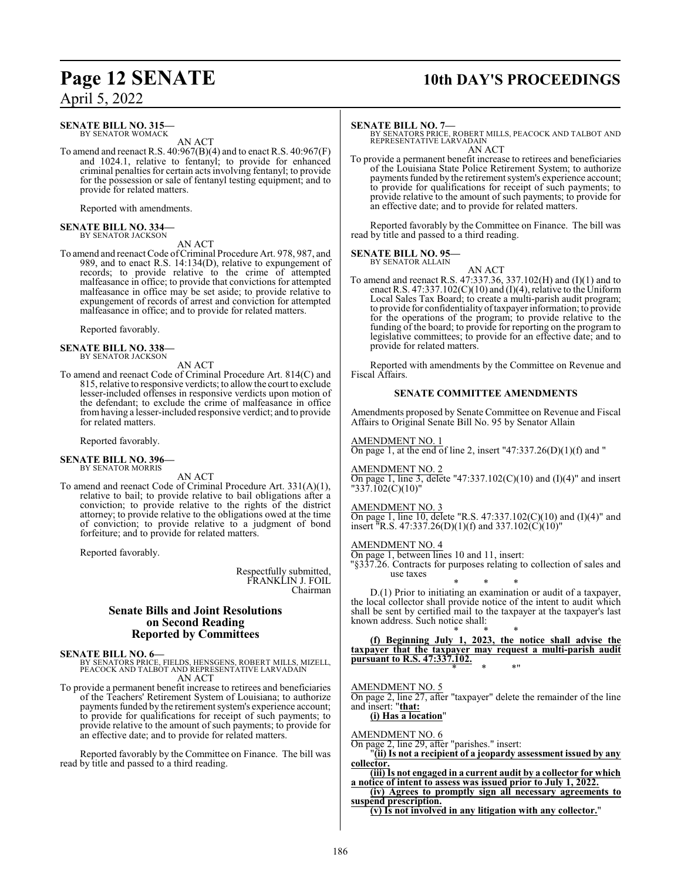# **Page 12 SENATE 10th DAY'S PROCEEDINGS**

April 5, 2022

#### **SENATE BILL NO. 315—** BY SENATOR WOMACK

AN ACT

To amend and reenact R.S. 40:967(B)(4) and to enact R.S. 40:967(F) and 1024.1, relative to fentanyl; to provide for enhanced criminal penalties for certain acts involving fentanyl; to provide for the possession or sale of fentanyl testing equipment; and to provide for related matters.

Reported with amendments.

#### **SENATE BILL NO. 334—** BY SENATOR JACKSON

AN ACT

To amend and reenact Code of Criminal Procedure Art. 978, 987, and 989, and to enact R.S. 14:134(D), relative to expungement of records; to provide relative to the crime of attempted malfeasance in office; to provide that convictions for attempted malfeasance in office may be set aside; to provide relative to expungement of records of arrest and conviction for attempted malfeasance in office; and to provide for related matters.

Reported favorably.

#### **SENATE BILL NO. 338—** BY SENATOR JACKSON

AN ACT

To amend and reenact Code of Criminal Procedure Art. 814(C) and 815, relative to responsive verdicts; to allow the court to exclude lesser-included offenses in responsive verdicts upon motion of the defendant; to exclude the crime of malfeasance in office fromhaving a lesser-included responsive verdict; and to provide for related matters.

Reported favorably.

# **SENATE BILL NO. 396—** BY SENATOR MORRIS

AN ACT

To amend and reenact Code of Criminal Procedure Art. 331(A)(1), relative to bail; to provide relative to bail obligations after a conviction; to provide relative to the rights of the district attorney; to provide relative to the obligations owed at the time of conviction; to provide relative to a judgment of bond forfeiture; and to provide for related matters.

Reported favorably.

Respectfully submitted, FRANKLIN J. FOIL Chairman

#### **Senate Bills and Joint Resolutions on Second Reading Reported by Committees**

#### **SENATE BILL NO. 6—**

BY SENATORS PRICE, FIELDS, HENSGENS, ROBERT MILLS, MIZELL, PEACOCK AND TALBOT AND REPRESENTATIVE LARVADAIN AN ACT

To provide a permanent benefit increase to retirees and beneficiaries of the Teachers' Retirement System of Louisiana; to authorize payments funded by the retirement system's experience account; to provide for qualifications for receipt of such payments; to provide relative to the amount of such payments; to provide for an effective date; and to provide for related matters.

Reported favorably by the Committee on Finance. The bill was read by title and passed to a third reading.

#### **SENATE BILL NO. 7—**

BY SENATORS PRICE, ROBERT MILLS, PEACOCK AND TALBOT AND REPRESENTATIVE LARVADAIN AN ACT

To provide a permanent benefit increase to retirees and beneficiaries of the Louisiana State Police Retirement System; to authorize payments funded by the retirement system's experience account; to provide for qualifications for receipt of such payments; to provide relative to the amount of such payments; to provide for an effective date; and to provide for related matters.

Reported favorably by the Committee on Finance. The bill was read by title and passed to a third reading.

# **SENATE BILL NO. 95—** BY SENATOR ALLAIN

AN ACT To amend and reenact R.S. 47:337.36, 337.102(H) and (I)(1) and to enact R.S. 47:337.102 $(C)(10)$  and  $(I)(4)$ , relative to the Uniform Local Sales Tax Board; to create a multi-parish audit program; to provide for confidentiality oftaxpayer information; to provide for the operations of the program; to provide relative to the funding of the board; to provide for reporting on the program to legislative committees; to provide for an effective date; and to provide for related matters.

Reported with amendments by the Committee on Revenue and Fiscal Affairs.

#### **SENATE COMMITTEE AMENDMENTS**

Amendments proposed by Senate Committee on Revenue and Fiscal Affairs to Original Senate Bill No. 95 by Senator Allain

#### AMENDMENT NO. 1

On page 1, at the end of line 2, insert "47:337.26(D)(1)(f) and "

## AMENDMENT NO. 2

On page 1, line 3, delete "47:337.102(C)(10) and (I)(4)" and insert "337.102(C)(10)"

#### AMENDMENT NO. 3

On page 1, line 10, delete "R.S. 47:337.102(C)(10) and (I)(4)" and insert "R.S. 47:337.26(D)(1)(f) and 337.102(C)(10)"

#### AMENDMENT NO. 4

On page 1, between lines 10 and 11, insert: "§337.26. Contracts for purposes relating to collection of sales and use taxes

\* \* \* D.(1) Prior to initiating an examination or audit of a taxpayer, the local collector shall provide notice of the intent to audit which shall be sent by certified mail to the taxpayer at the taxpayer's last known address. Such notice shall:

\* \* \* **(f) Beginning July 1, 2023, the notice shall advise the taxpayer that the taxpayer may request a multi-parish audit pursuant to R.S. 47:337.102.** \* \* \*"

#### AMENDMENT NO. 5

On page 2, line 27, after "taxpayer" delete the remainder of the line and insert: "**that:**

**(i) Has a location**"

#### AMENDMENT NO. 6

On page 2, line 29, after "parishes." insert:

"**(ii) Is not a recipient of a jeopardy assessment issued by any collector.**

**(iii) Is not engaged in a current audit by a collector for which a notice of intent to assess was issued prior to July 1, 2022.**

**(iv) Agrees to promptly sign all necessary agreements to suspend prescription.**

**(v) Is not involved in any litigation with any collector.**"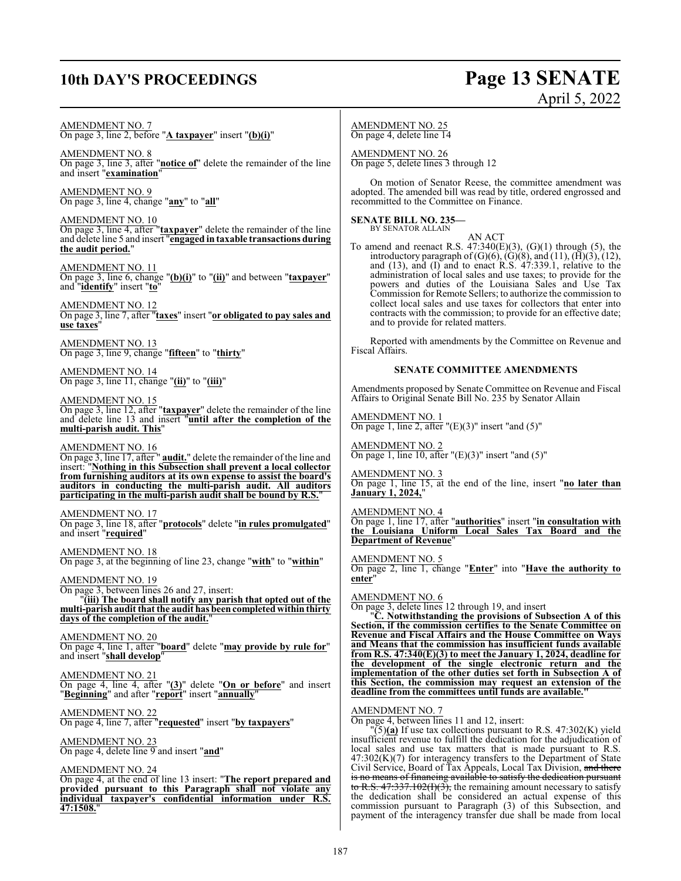# **10th DAY'S PROCEEDINGS Page 13 SENATE**

# April 5, 2022

AMENDMENT NO. 7

On page 3, line 2, before "**A taxpayer**" insert "**(b)(i)**"

AMENDMENT NO. 8

On page 3, line 3, after "**notice of**" delete the remainder of the line and insert "**examination**"

AMENDMENT NO. 9 On page 3, line 4, change "**any**" to "**all**"

AMENDMENT NO. 10 On page 3, line 4, after "**taxpayer**" delete the remainder of the line and delete line 5 and insert "**engaged in taxable transactions during the audit period.**"

AMENDMENT NO. 11 On page 3, line 6, change "**(b)(i)**" to "**(ii)**" and between "**taxpayer**" and "**identify**" insert "**to**"

AMENDMENT NO. 12 On page 3, line 7, after "**taxes**" insert "**or obligated to pay sales and use taxes**"

AMENDMENT NO. 13 On page 3, line 9, change "**fifteen**" to "**thirty**"

AMENDMENT NO. 14 On page 3, line 11, change "**(ii)**" to "**(iii)**"

AMENDMENT NO. 15

On page 3, line 12, after "**taxpayer**" delete the remainder of the line and delete line 13 and insert "**until after the completion of the multi-parish audit. This**"

AMENDMENT NO. 16

On page 3, line 17, after " **audit.**" delete the remainder of the line and insert: "**Nothing in this Subsection shall prevent a local collector from furnishing auditors at its own expense to assist the board's auditors in conducting the multi-parish audit. All auditors participating in the multi-parish audit shall be bound by R.S.**"

AMENDMENT NO. 17

On page 3, line 18, after "**protocols**" delete "**in rules promulgated**" and insert "**required**"

AMENDMENT NO. 18 On page 3, at the beginning of line 23, change "**with**" to "**within**"

AMENDMENT NO. 19 On page 3, between lines 26 and 27, insert: "**(iii) The board shall notify any parish that opted out of the multi-parish audit that the audit has beencompleted within thirty days of the completion of the audit.**"

AMENDMENT NO. 20 On page 4, line 1, after "**board**" delete "**may provide by rule for**" and insert "**shall develop**"

AMENDMENT NO. 21 On page 4, line 4, after "**(3)**" delete "**On or before**" and insert "**Beginning**" and after "**report**" insert "**annually**"

AMENDMENT NO. 22 On page 4, line 7, after "**requested**" insert "**by taxpayers**"

AMENDMENT NO. 23 On page 4, delete line 9 and insert "**and**"

AMENDMENT NO. 24

On page 4, at the end of line 13 insert: "**The report prepared and provided pursuant to this Paragraph shall not violate any individual taxpayer's confidential information under R.S. 47:1508.**"

AMENDMENT NO. 25 On page 4, delete line 14

AMENDMENT NO. 26 On page 5, delete lines 3 through 12

On motion of Senator Reese, the committee amendment was adopted. The amended bill was read by title, ordered engrossed and recommitted to the Committee on Finance.

**SENATE BILL NO. 235—** BY SENATOR ALLAIN

AN ACT

To amend and reenact R.S.  $47:340(E)(3)$ ,  $(G)(1)$  through  $(5)$ , the introductory paragraph of  $(G)(6)$ ,  $(G)(8)$ , and  $(11)$ ,  $(\overline{H})(3)$ ,  $(12)$ , and (13), and (I) and to enact R.S. 47:339.1, relative to the administration of local sales and use taxes; to provide for the powers and duties of the Louisiana Sales and Use Tax Commission for Remote Sellers; to authorize the commission to collect local sales and use taxes for collectors that enter into contracts with the commission; to provide for an effective date; and to provide for related matters.

Reported with amendments by the Committee on Revenue and Fiscal Affairs.

#### **SENATE COMMITTEE AMENDMENTS**

Amendments proposed by Senate Committee on Revenue and Fiscal Affairs to Original Senate Bill No. 235 by Senator Allain

AMENDMENT NO. 1 On page 1, line 2, after  $"({\rm E})(3)"$  insert "and  $(5)"$ 

AMENDMENT NO. 2 On page 1, line 10, after " $(E)(3)$ " insert "and  $(5)$ "

AMENDMENT NO. 3 On page 1, line 15, at the end of the line, insert "**no later than January 1, 2024,**"

AMENDMENT NO. 4 On page 1, line 17, after "**authorities**" insert "**in consultation with the Louisiana Uniform Local Sales Tax Board and the Department of Revenue**"

AMENDMENT NO. 5 On page 2, line 1, change "**Enter**" into "**Have the authority to enter**"

AMENDMENT NO. 6

On page 3, delete lines 12 through 19, and insert

"**C. Notwithstanding the provisions of Subsection A of this Section, if the commission certifies to the Senate Committee on Revenue and Fiscal Affairs and the House Committee on Ways and Means that the commission has insufficient funds available from R.S. 47:340(E)(3) to meet the January 1, 2024, deadline for the development of the single electronic return and the implementation of the other duties set forth in Subsection A of this Section, the commission may request an extension of the deadline from the committees until funds are available."**

AMENDMENT NO. 7

On page 4, between lines 11 and 12, insert:

"(5)**(a)** If use tax collections pursuant to R.S. 47:302(K) yield insufficient revenue to fulfill the dedication for the adjudication of local sales and use tax matters that is made pursuant to R.S. 47:302(K)(7) for interagency transfers to the Department of State Civil Service, Board of Tax Appeals, Local Tax Division, and there is no means of financing available to satisfy the dedication pursuant to R.S.  $47:337.102(f)(3)$ , the remaining amount necessary to satisfy the dedication shall be considered an actual expense of this commission pursuant to Paragraph (3) of this Subsection, and payment of the interagency transfer due shall be made from local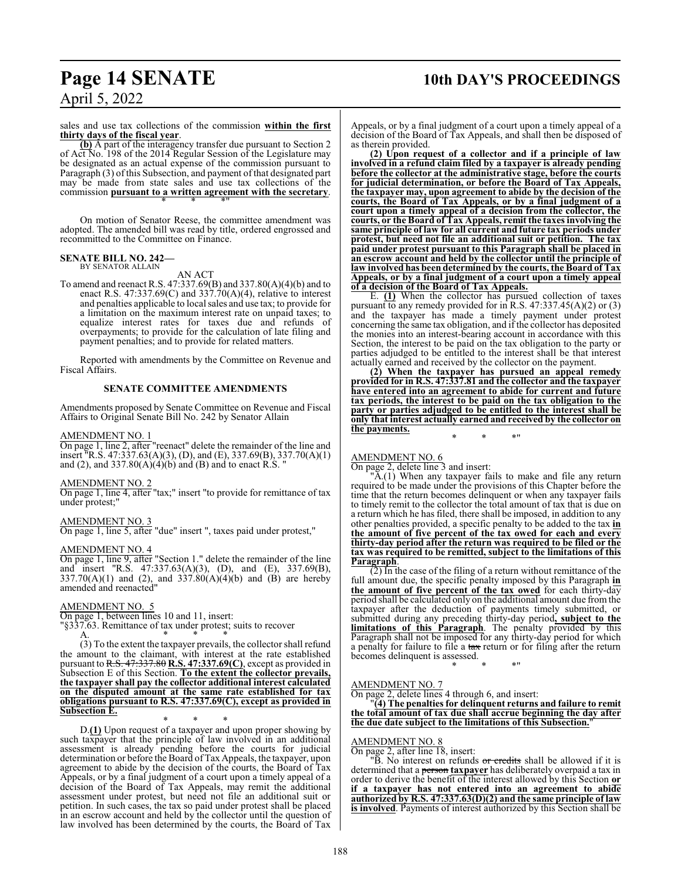# **Page 14 SENATE 10th DAY'S PROCEEDINGS**

April 5, 2022

sales and use tax collections of the commission **within the first thirty days of the fiscal year**.

**(b)** A part of the interagency transfer due pursuant to Section 2 of Act No. 198 of the 2014 Regular Session of the Legislature may be designated as an actual expense of the commission pursuant to Paragraph (3) of this Subsection, and payment of that designated part may be made from state sales and use tax collections of the commission **pursuant to a written agreement with the secretary**. \* \* \*"

On motion of Senator Reese, the committee amendment was adopted. The amended bill was read by title, ordered engrossed and recommitted to the Committee on Finance.

#### **SENATE BILL NO. 242—** BY SENATOR ALLAIN

## AN ACT

To amend and reenact R.S. 47:337.69(B) and 337.80(A)(4)(b) and to enact R.S.  $47:337.69(C)$  and  $337.70(A)(4)$ , relative to interest and penalties applicable to local sales and use tax; to provide for a limitation on the maximum interest rate on unpaid taxes; to equalize interest rates for taxes due and refunds of overpayments; to provide for the calculation of late filing and payment penalties; and to provide for related matters.

Reported with amendments by the Committee on Revenue and Fiscal Affairs.

#### **SENATE COMMITTEE AMENDMENTS**

Amendments proposed by Senate Committee on Revenue and Fiscal Affairs to Original Senate Bill No. 242 by Senator Allain

#### AMENDMENT NO. 1

On page 1, line 2, after "reenact" delete the remainder of the line and insert "R.S. 47:337.63(A)(3), (D), and (E), 337.69(B), 337.70(A)(1) and (2), and  $337.80(A)(4)(b)$  and (B) and to enact R.S. "

#### AMENDMENT NO. 2

On page 1, line 4, after "tax;" insert "to provide for remittance of tax under protest;"

#### AMENDMENT NO. 3

On page 1, line 5, after "due" insert ", taxes paid under protest,"

#### AMENDMENT NO. 4

On page 1, line 9, after "Section 1." delete the remainder of the line and insert "R.S. 47:337.63(A)(3), (D), and (E), 337.69(B),  $337.70(A)(1)$  and  $(2)$ , and  $337.80(A)(4)(b)$  and  $(B)$  are hereby amended and reenacted"

#### AMENDMENT NO. 5

On page 1, between lines 10 and 11, insert:

"§337.63. Remittance of tax under protest; suits to recover

A.  $*$  \* \* \* (3) To the extent the taxpayer prevails, the collector shall refund the amount to the claimant, with interest at the rate established pursuant to R.S. 47:337.80 **R.S. 47:337.69(C)**, except as provided in Subsection E of this Section. **To the extent the collector prevails, the taxpayer shall pay the collector additional interest calculated on the disputed amount at the same rate established for tax obligations pursuant to R.S. 47:337.69(C), except as provided in Subsection E.**

\* \* \* D.**(1)** Upon request of a taxpayer and upon proper showing by such taxpayer that the principle of law involved in an additional assessment is already pending before the courts for judicial determination or before the Board of Tax Appeals, the taxpayer, upon agreement to abide by the decision of the courts, the Board of Tax Appeals, or by a final judgment of a court upon a timely appeal of a decision of the Board of Tax Appeals, may remit the additional assessment under protest, but need not file an additional suit or petition. In such cases, the tax so paid under protest shall be placed in an escrow account and held by the collector until the question of law involved has been determined by the courts, the Board of Tax

Appeals, or by a final judgment of a court upon a timely appeal of a decision of the Board of Tax Appeals, and shall then be disposed of as therein provided.

**(2) Upon request of a collector and if a principle of law involved in a refund claim filed by a taxpayer is already pending before the collector at the administrative stage, before the courts for judicial determination, or before the Board of Tax Appeals, the taxpayer may, upon agreement to abide by the decision of the courts, the Board of Tax Appeals, or by a final judgment of a court upon a timely appeal of a decision from the collector, the courts, or the Board of Tax Appeals, remit the taxes involving the same principle of law for all current and future tax periods under protest, but need not file an additional suit or petition. The tax paid under protest pursuant to this Paragraph shall be placed in an escrow account and held by the collector until the principle of law involved has been determined by the courts, the Board of Tax Appeals, or by a final judgment of a court upon a timely appeal of a decision of the Board of Tax Appeals.**

E. **(1)** When the collector has pursued collection of taxes pursuant to any remedy provided for in R.S. 47:337.45(A)(2) or (3) and the taxpayer has made a timely payment under protest concerning the same tax obligation, and if the collector has deposited the monies into an interest-bearing account in accordance with this Section, the interest to be paid on the tax obligation to the party or parties adjudged to be entitled to the interest shall be that interest actually earned and received by the collector on the payment.

**(2) When the taxpayer has pursued an appeal remedy provided for in R.S. 47:337.81 and the collector and the taxpayer have entered into an agreement to abide for current and future tax periods, the interest to be paid on the tax obligation to the party or parties adjudged to be entitled to the interest shall be only that interest actually earned and received by the collector on the payments.**

\* \* \*"

## AMENDMENT NO. 6

On page 2, delete line 3 and insert:

"A.(1) When any taxpayer fails to make and file any return required to be made under the provisions of this Chapter before the time that the return becomes delinquent or when any taxpayer fails to timely remit to the collector the total amount of tax that is due on a return which he has filed, there shall be imposed, in addition to any other penalties provided, a specific penalty to be added to the tax **in the amount of five percent of the tax owed for each and every thirty-day period after the return was required to be filed or the tax was required to be remitted, subject to the limitations of this Paragraph**.

(2) In the case of the filing of a return without remittance of the full amount due, the specific penalty imposed by this Paragraph **in the amount of five percent of the tax owed** for each thirty-day period shall be calculated only on the additional amount due fromthe taxpayer after the deduction of payments timely submitted, or submitted during any preceding thirty-day period**, subject to the limitations of this Paragraph**. The penalty provided by this Paragraph shall not be imposed for any thirty-day period for which a penalty for failure to file a tax return or for filing after the return becomes delinquent is assessed.

#### AMENDMENT NO. 7

On page 2, delete lines 4 through 6, and insert:

"**(4) The penalties for delinquent returns and failure to remit the total amount of tax due shall accrue beginning the day after the due date subject to the limitations of this Subsection.**"

\* \* \*"

#### AMENDMENT NO. 8

On page 2, after line 18, insert:

"B. No interest on refunds or credits shall be allowed if it is determined that a person **taxpayer** has deliberately overpaid a tax in order to derive the benefit of the interest allowed by this Section **or if a taxpayer has not entered into an agreement to abide authorized by R.S. 47:337.63(D)(2) and the same principle of law is involved**. Payments of interest authorized by this Section shall be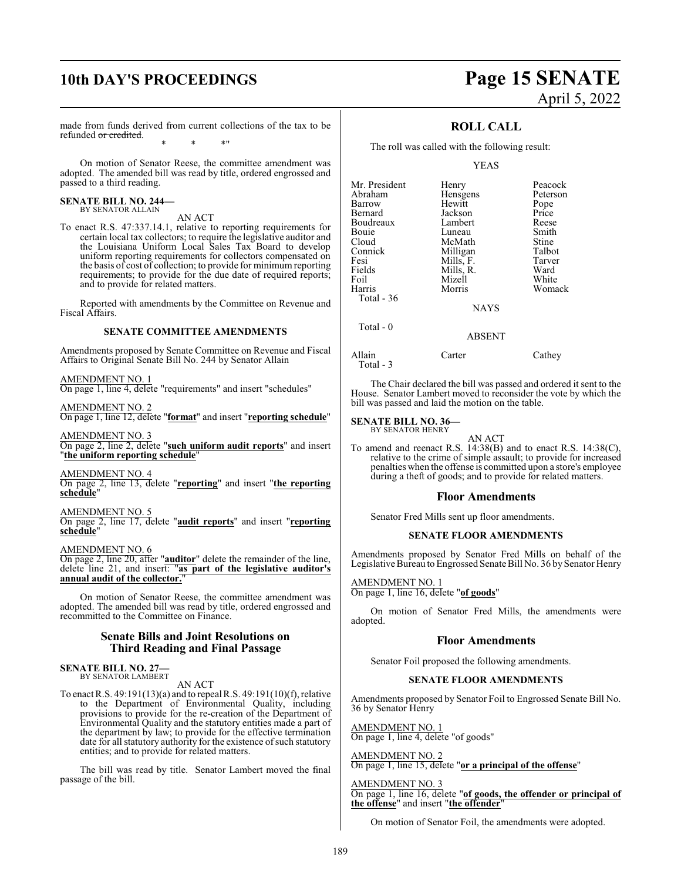# **10th DAY'S PROCEEDINGS Page 15 SENATE**

# April 5, 2022

made from funds derived from current collections of the tax to be refunded or credited. \* \* \*"

On motion of Senator Reese, the committee amendment was adopted. The amended bill was read by title, ordered engrossed and passed to a third reading.

# **SENATE BILL NO. 244—** BY SENATOR ALLAIN

#### AN ACT

To enact R.S. 47:337.14.1, relative to reporting requirements for certain local tax collectors; to require the legislative auditor and the Louisiana Uniform Local Sales Tax Board to develop uniform reporting requirements for collectors compensated on the basis of cost of collection; to provide for minimum reporting requirements; to provide for the due date of required reports; and to provide for related matters.

Reported with amendments by the Committee on Revenue and Fiscal Affairs.

#### **SENATE COMMITTEE AMENDMENTS**

Amendments proposed by Senate Committee on Revenue and Fiscal Affairs to Original Senate Bill No. 244 by Senator Allain

#### AMENDMENT NO. 1

On page 1, line 4, delete "requirements" and insert "schedules"

AMENDMENT NO. 2 On page 1, line 12, delete "**format**" and insert "**reporting schedule**"

AMENDMENT NO. 3 On page 2, line 2, delete "**such uniform audit reports**" and insert "**the uniform reporting schedule**"

AMENDMENT NO. 4 On page 2, line 13, delete "**reporting**" and insert "**the reporting schedule**"

AMENDMENT NO. 5

On page 2, line 17, delete "**audit reports**" and insert "**reporting schedule**"

AMENDMENT NO. 6

On page 2, line 20, after "**auditor**" delete the remainder of the line, delete line 21, and insert: "**as part of the legislative auditor's annual audit of the collector.**"

On motion of Senator Reese, the committee amendment was adopted. The amended bill was read by title, ordered engrossed and recommitted to the Committee on Finance.

#### **Senate Bills and Joint Resolutions on Third Reading and Final Passage**

**SENATE BILL NO. 27—** BY SENATOR LAMBERT

#### AN ACT

To enact R.S. 49:191(13)(a) and to repeal R.S. 49:191(10)(f), relative to the Department of Environmental Quality, including provisions to provide for the re-creation of the Department of Environmental Quality and the statutory entities made a part of the department by law; to provide for the effective termination date for all statutory authority for the existence of such statutory entities; and to provide for related matters.

The bill was read by title. Senator Lambert moved the final passage of the bill.

### **ROLL CALL**

The roll was called with the following result:

#### YEAS

| Mr. President | Henry       | Peacock  |
|---------------|-------------|----------|
| Abraham       | Hensgens    | Peterson |
| Barrow        | Hewitt      | Pope     |
| Bernard       | Jackson     | Price    |
| Boudreaux     | Lambert     | Reese    |
| Bouie         | Luneau      | Smith    |
| Cloud         | McMath      | Stine    |
| Connick       | Milligan    | Talbot   |
| Fesi          | Mills, F.   | Tarver   |
| Fields        | Mills, R.   | Ward     |
| Foil          | Mizell      | White    |
| Harris        | Morris      | Womack   |
| Total - 36    |             |          |
|               | <b>NAYS</b> |          |
| Total - 0     |             |          |

Allain Carter Cathey Total - 3

The Chair declared the bill was passed and ordered it sent to the House. Senator Lambert moved to reconsider the vote by which the

bill was passed and laid the motion on the table.

ABSENT

**SENATE BILL NO. 36—**

BY SENATOR HENRY

AN ACT

To amend and reenact R.S. 14:38(B) and to enact R.S. 14:38(C), relative to the crime of simple assault; to provide for increased penalties when the offense is committed upon a store's employee during a theft of goods; and to provide for related matters.

#### **Floor Amendments**

Senator Fred Mills sent up floor amendments.

#### **SENATE FLOOR AMENDMENTS**

Amendments proposed by Senator Fred Mills on behalf of the Legislative Bureau to Engrossed Senate Bill No. 36 by Senator Henry

AMENDMENT NO. 1 On page 1, line 16, delete "**of goods**"

On motion of Senator Fred Mills, the amendments were adopted.

#### **Floor Amendments**

Senator Foil proposed the following amendments.

#### **SENATE FLOOR AMENDMENTS**

Amendments proposed by Senator Foil to Engrossed Senate Bill No. 36 by Senator Henry

AMENDMENT NO. 1 On page 1, line 4, delete "of goods"

AMENDMENT NO. 2 On page 1, line 15, delete "**or a principal of the offense**"

AMENDMENT NO. 3 On page 1, line 16, delete "**of goods, the offender or principal of the offense**" and insert "**the offender**"

On motion of Senator Foil, the amendments were adopted.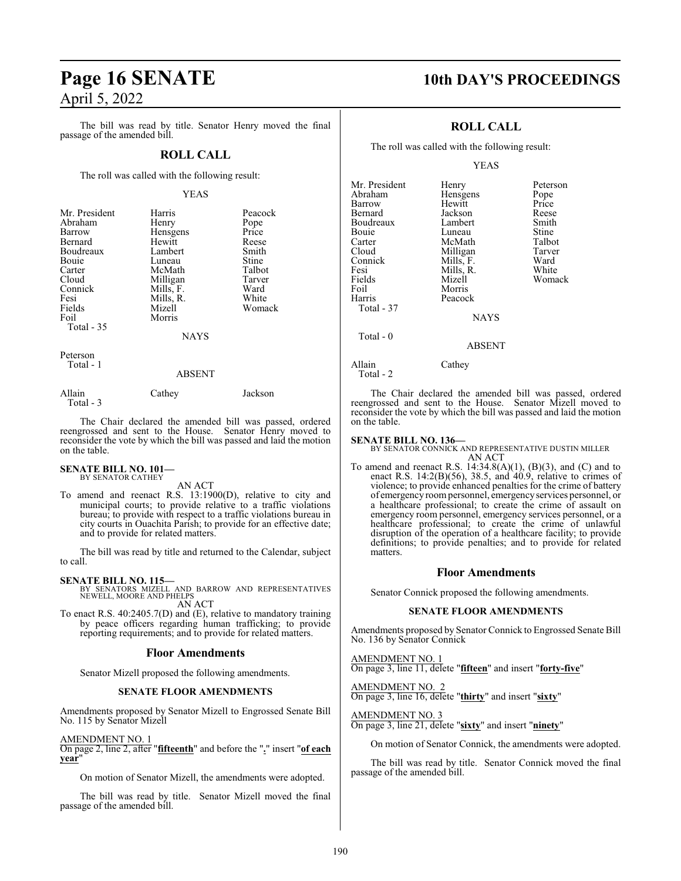# **Page 16 SENATE 10th DAY'S PROCEEDINGS** April 5, 2022

The bill was read by title. Senator Henry moved the final passage of the amended bill.

#### **ROLL CALL**

The roll was called with the following result:

#### YEAS

| Mr. President<br>Abraham<br>Barrow<br>Bernard<br>Boudreaux<br><b>Bouje</b><br>Carter<br>Cloud<br>Connick<br>Fesi<br>Fields | Harris<br>Henry<br>Hensgens<br>Hewitt<br>Lambert<br>Luneau<br>McMath<br>Milligan<br>Mills, F.<br>Mills, R.<br>Mizell | Peacock<br>Pope<br>Price<br>Reese<br>Smith<br>Stine<br>Talbot<br>Tarver<br>Ward<br>White<br>Womack |
|----------------------------------------------------------------------------------------------------------------------------|----------------------------------------------------------------------------------------------------------------------|----------------------------------------------------------------------------------------------------|
| Foil<br>Total $-35$                                                                                                        | Morris<br><b>NAYS</b>                                                                                                |                                                                                                    |
| Peterson<br>Total - 1                                                                                                      | A DOENT                                                                                                              |                                                                                                    |

#### ABSENT

| Allain    | Cathey | Jackson |
|-----------|--------|---------|
| Total - 3 |        |         |

The Chair declared the amended bill was passed, ordered reengrossed and sent to the House. Senator Henry moved to reconsider the vote by which the bill was passed and laid the motion on the table.

#### **SENATE BILL NO. 101—** BY SENATOR CATHEY

AN ACT

To amend and reenact R.S. 13:1900(D), relative to city and municipal courts; to provide relative to a traffic violations bureau; to provide with respect to a traffic violations bureau in city courts in Ouachita Parish; to provide for an effective date; and to provide for related matters.

The bill was read by title and returned to the Calendar, subject to call.

**SENATE BILL NO. 115—**<br>BY SENATORS MIZELL AND BARROW AND REPRESENTATIVES<br>NEWELL, MOORE AND PHELPS AN ACT

To enact R.S. 40:2405.7(D) and (E), relative to mandatory training by peace officers regarding human trafficking; to provide reporting requirements; and to provide for related matters.

#### **Floor Amendments**

Senator Mizell proposed the following amendments.

#### **SENATE FLOOR AMENDMENTS**

Amendments proposed by Senator Mizell to Engrossed Senate Bill No. 115 by Senator Mizell

#### AMENDMENT NO. 1

On page 2, line 2, after "**fifteenth**" and before the "**.**" insert "**of each year**"

On motion of Senator Mizell, the amendments were adopted.

The bill was read by title. Senator Mizell moved the final passage of the amended bill.

### **ROLL CALL**

The roll was called with the following result:

#### YEAS

| Mr. President | Henry         | Peterson |
|---------------|---------------|----------|
|               |               |          |
| Abraham       | Hensgens      | Pope     |
| Barrow        | Hewitt        | Price    |
| Bernard       | Jackson       | Reese    |
| Boudreaux     | Lambert       | Smith    |
| Bouie         | Luneau        | Stine    |
| Carter        | McMath        | Talbot   |
| Cloud         | Milligan      | Tarver   |
| Connick       | Mills, F.     | Ward     |
| Fesi          | Mills, R.     | White    |
| Fields        | Mizell        | Womack   |
| Foil          | Morris        |          |
| Harris        | Peacock       |          |
| Total - 37    |               |          |
|               | <b>NAYS</b>   |          |
| Total $-0$    |               |          |
|               | <b>ABSENT</b> |          |
|               |               |          |

Allain Cathey Total - 2

The Chair declared the amended bill was passed, ordered reengrossed and sent to the House. Senator Mizell moved to reconsider the vote by which the bill was passed and laid the motion on the table.

#### **SENATE BILL NO. 136—**

BY SENATOR CONNICK AND REPRESENTATIVE DUSTIN MILLER AN ACT

To amend and reenact R.S.  $14:34.8(A)(1)$ ,  $(B)(3)$ , and  $(C)$  and to enact R.S. 14:2(B)(56), 38.5, and 40.9, relative to crimes of violence; to provide enhanced penalties for the crime of battery of emergency roompersonnel, emergencyservices personnel, or a healthcare professional; to create the crime of assault on emergency room personnel, emergency services personnel, or a healthcare professional; to create the crime of unlawful disruption of the operation of a healthcare facility; to provide definitions; to provide penalties; and to provide for related matters.

#### **Floor Amendments**

Senator Connick proposed the following amendments.

#### **SENATE FLOOR AMENDMENTS**

Amendments proposed by Senator Connick to Engrossed Senate Bill No. 136 by Senator Connick

#### AMENDMENT NO. 1 On page 3, line 11, delete "**fifteen**" and insert "**forty-five**"

AMENDMENT NO. 2

On page 3, line 16, delete "**thirty**" and insert "**sixty**"

AMENDMENT NO. 3 On page 3, line 21, delete "**sixty**" and insert "**ninety**"

On motion of Senator Connick, the amendments were adopted.

The bill was read by title. Senator Connick moved the final passage of the amended bill.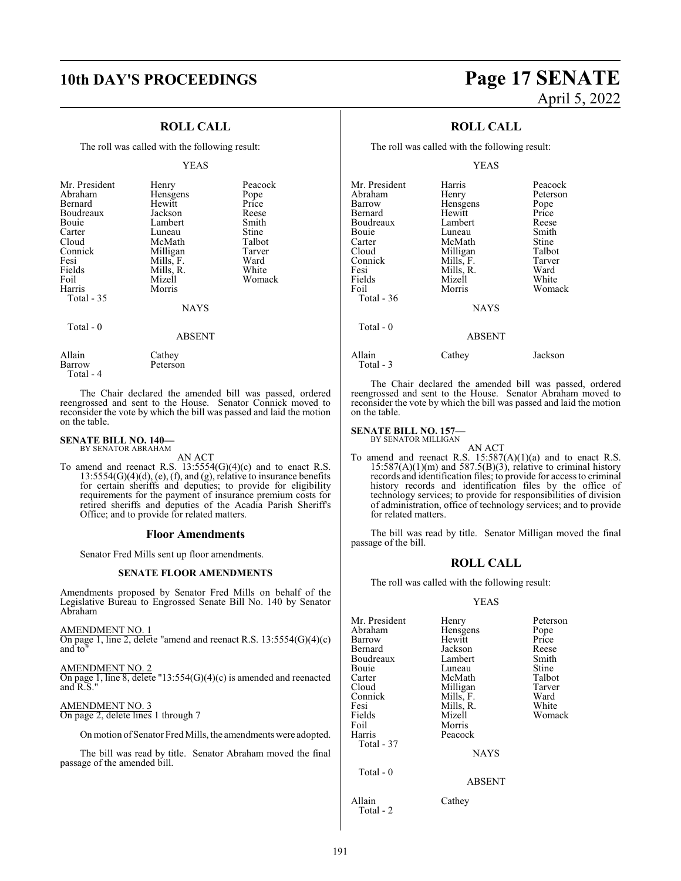### **ROLL CALL**

The roll was called with the following result:

#### YEAS

| Mr. President<br>Abraham<br>Bernard<br>Boudreaux<br>Bouie<br>Carter<br>Cloud<br>Connick | Henry<br>Hensgens<br>Hewitt<br>Jackson<br>Lambert<br>Luneau<br>McMath<br>Milligan | Peacock<br>Pope<br>Price<br>Reese<br>Smith<br>Stine<br>Talbot<br>Tarver |
|-----------------------------------------------------------------------------------------|-----------------------------------------------------------------------------------|-------------------------------------------------------------------------|
| Fesi<br>Fields                                                                          | Mills, F.<br>Mills, R.                                                            | Ward<br>White                                                           |
| Foil<br>Harris                                                                          | Mizell<br>Morris                                                                  | Womack                                                                  |
| Total $-35$                                                                             |                                                                                   |                                                                         |
|                                                                                         | <b>NAYS</b>                                                                       |                                                                         |
| Total - 0                                                                               | ABSENT                                                                            |                                                                         |

Peterson

Allain Cathey<br>Barrow Peterso

Total - 4

The Chair declared the amended bill was passed, ordered reengrossed and sent to the House. Senator Connick moved to reconsider the vote by which the bill was passed and laid the motion on the table.

## **SENATE BILL NO. 140—** BY SENATOR ABRAHAM

AN ACT

To amend and reenact R.S. 13:5554(G)(4)(c) and to enact R.S.  $13:5554(G)(4)(d)$ , (e), (f), and (g), relative to insurance benefits for certain sheriffs and deputies; to provide for eligibility requirements for the payment of insurance premium costs for retired sheriffs and deputies of the Acadia Parish Sheriff's Office; and to provide for related matters.

#### **Floor Amendments**

Senator Fred Mills sent up floor amendments.

#### **SENATE FLOOR AMENDMENTS**

Amendments proposed by Senator Fred Mills on behalf of the Legislative Bureau to Engrossed Senate Bill No. 140 by Senator Abraham

AMENDMENT NO. 1

On page 1, line 2, delete "amend and reenact R.S. 13:5554(G)(4)(c) and to"

AMENDMENT NO. 2 On page 1, line 8, delete "13:554(G)(4)(c) is amended and reenacted and R.S."

AMENDMENT NO. 3 On page 2, delete lines 1 through 7

On motion of Senator Fred Mills, the amendments were adopted.

The bill was read by title. Senator Abraham moved the final passage of the amended bill.

# **10th DAY'S PROCEEDINGS Page 17 SENATE** April 5, 2022

## **ROLL CALL**

The roll was called with the following result:

YEAS

| Mr. President<br>Abraham<br>Barrow<br>Bernard<br>Boudreaux<br>Bouie<br>Carter<br>Cloud<br>Connick<br>Fesi<br>Fields | Harris<br>Henry<br>Hensgens<br>Hewitt<br>Lambert<br>Luneau<br>McMath<br>Milligan<br>Mills, F.<br>Mills, R.<br>Mizell | Peacock<br>Peterson<br>Pope<br>Price<br>Reese<br>Smith<br>Stine<br>Talbot<br>Tarver<br>Ward<br>White |
|---------------------------------------------------------------------------------------------------------------------|----------------------------------------------------------------------------------------------------------------------|------------------------------------------------------------------------------------------------------|
| Foil<br><b>Total - 36</b><br>Total - 0                                                                              | Morris<br><b>NAYS</b>                                                                                                | Womack                                                                                               |
|                                                                                                                     | <b>ABSENT</b>                                                                                                        |                                                                                                      |
| Allain<br>Total $-3$                                                                                                | Cathey                                                                                                               | Jackson                                                                                              |

The Chair declared the amended bill was passed, ordered reengrossed and sent to the House. Senator Abraham moved to reconsider the vote by which the bill was passed and laid the motion on the table.

#### **SENATE BILL NO. 157—** BY SENATOR MILLIGAN

AN ACT To amend and reenact R.S.  $15:587(A)(1)(a)$  and to enact R.S.  $15:587(A)(1)(m)$  and  $587.5(B)(3)$ , relative to criminal history records and identification files; to provide for access to criminal history records and identification files by the office of technology services; to provide for responsibilities of division of administration, office of technology services; and to provide for related matters.

The bill was read by title. Senator Milligan moved the final passage of the bill.

#### **ROLL CALL**

The roll was called with the following result:

#### YEAS

| Mr. President<br>Abraham<br>Barrow<br>Bernard<br>Boudreaux<br>Bouie<br>Carter<br>Cloud<br>Connick<br>Fesi<br>Fields | Henry<br>Hensgens<br>Hewitt<br>Jackson<br>Lambert<br>Luneau<br>McMath<br>Milligan<br>Mills, F.<br>Mills, R.<br>Mizell | Peterson<br>Pope<br>Price<br>Reese<br>Smith<br>Stine<br>Talbot<br>Tarver<br>Ward<br>White<br>Womack |
|---------------------------------------------------------------------------------------------------------------------|-----------------------------------------------------------------------------------------------------------------------|-----------------------------------------------------------------------------------------------------|
| Foil<br>Harris<br>Total - 37                                                                                        | Morris<br>Peacock<br><b>NAYS</b>                                                                                      |                                                                                                     |
| Total - 0                                                                                                           | ABSENT                                                                                                                |                                                                                                     |
| Allain<br>Total - 2                                                                                                 | Cathey                                                                                                                |                                                                                                     |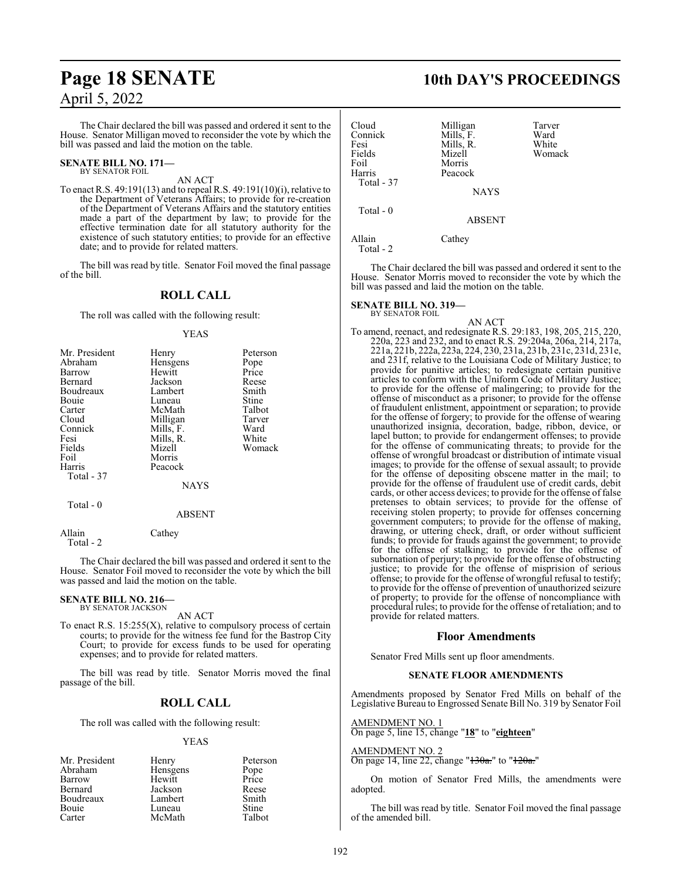The Chair declared the bill was passed and ordered it sent to the House. Senator Milligan moved to reconsider the vote by which the bill was passed and laid the motion on the table.

#### **SENATE BILL NO. 171—** BY SENATOR FOIL

AN ACT

To enact R.S. 49:191(13) and to repeal R.S. 49:191(10)(i), relative to the Department of Veterans Affairs; to provide for re-creation of the Department of Veterans Affairs and the statutory entities made a part of the department by law; to provide for the effective termination date for all statutory authority for the existence of such statutory entities; to provide for an effective date; and to provide for related matters.

The bill was read by title. Senator Foil moved the final passage of the bill.

#### **ROLL CALL**

The roll was called with the following result:

#### YEAS

| Mr. President | Henry       | Peterson |
|---------------|-------------|----------|
| Abraham       | Hensgens    | Pope     |
| Barrow        | Hewitt      | Price    |
| Bernard       | Jackson     | Reese    |
| Boudreaux     | Lambert     | Smith    |
| Bouie         | Luneau      | Stine    |
| Carter        | McMath      | Talbot   |
| Cloud         | Milligan    | Tarver   |
| Connick       | Mills, F.   | Ward     |
| Fesi          | Mills, R.   | White    |
| Fields        | Mizell      | Womack   |
| Foil          | Morris      |          |
| Harris        | Peacock     |          |
| Total - 37    |             |          |
|               | <b>NAYS</b> |          |
| Total - 0     |             |          |
|               | ABSENT      |          |

Allain Cathey Total - 2

The Chair declared the bill was passed and ordered it sent to the House. Senator Foil moved to reconsider the vote by which the bill was passed and laid the motion on the table.

## **SENATE BILL NO. 216—** BY SENATOR JACKSON

AN ACT

To enact R.S.  $15:255(X)$ , relative to compulsory process of certain courts; to provide for the witness fee fund for the Bastrop City Court; to provide for excess funds to be used for operating expenses; and to provide for related matters.

The bill was read by title. Senator Morris moved the final passage of the bill.

#### **ROLL CALL**

The roll was called with the following result:

#### YEAS

| Mr. President | Henry    | Peterson     |
|---------------|----------|--------------|
| Abraham       | Hensgens | Pope         |
| Barrow        | Hewitt   | Price        |
| Bernard       | Jackson  | Reese        |
| Boudreaux     | Lambert  | Smith        |
| Bouie         | Luneau   | <b>Stine</b> |
| Carter        | McMath   | Talbot       |

# **Page 18 SENATE 10th DAY'S PROCEEDINGS**

| Cloud      | Milligan      | Tarver |
|------------|---------------|--------|
| Connick    | Mills, F.     | Ward   |
| Fesi       | Mills, R.     | White  |
| Fields     | Mizell        | Womack |
| Foil       | Morris        |        |
| Harris     | Peacock       |        |
| Total - 37 |               |        |
|            | <b>NAYS</b>   |        |
| Total $-0$ |               |        |
|            | <b>ABSENT</b> |        |
| Allain     | Cathey        |        |
| Total - 2  |               |        |

The Chair declared the bill was passed and ordered it sent to the House. Senator Morris moved to reconsider the vote by which the bill was passed and laid the motion on the table.

#### **SENATE BILL NO. 319—**

BY SENATOR FOIL

AN ACT

To amend, reenact, and redesignate R.S. 29:183, 198, 205, 215, 220, 220a, 223 and 232, and to enact R.S. 29:204a, 206a, 214, 217a, 221a, 221b, 222a, 223a, 224, 230, 231a, 231b, 231c, 231d, 231e, and 231f, relative to the Louisiana Code of Military Justice; to provide for punitive articles; to redesignate certain punitive articles to conform with the Uniform Code of Military Justice; to provide for the offense of malingering; to provide for the offense of misconduct as a prisoner; to provide for the offense of fraudulent enlistment, appointment or separation; to provide for the offense of forgery; to provide for the offense of wearing unauthorized insignia, decoration, badge, ribbon, device, or lapel button; to provide for endangerment offenses; to provide for the offense of communicating threats; to provide for the offense of wrongful broadcast or distribution of intimate visual images; to provide for the offense of sexual assault; to provide for the offense of depositing obscene matter in the mail; to provide for the offense of fraudulent use of credit cards, debit cards, or other access devices; to provide for the offense of false pretenses to obtain services; to provide for the offense of receiving stolen property; to provide for offenses concerning government computers; to provide for the offense of making, drawing, or uttering check, draft, or order without sufficient funds; to provide for frauds against the government; to provide for the offense of stalking; to provide for the offense of subornation of perjury; to provide for the offense of obstructing justice; to provide for the offense of misprision of serious offense; to provide for the offense of wrongful refusal to testify; to provide for the offense of prevention of unauthorized seizure of property; to provide for the offense of noncompliance with procedural rules; to provide for the offense of retaliation; and to provide for related matters.

#### **Floor Amendments**

Senator Fred Mills sent up floor amendments.

#### **SENATE FLOOR AMENDMENTS**

Amendments proposed by Senator Fred Mills on behalf of the Legislative Bureau to Engrossed Senate Bill No. 319 by Senator Foil

AMENDMENT NO. 1 On page 5, line 15, change "**18**" to "**eighteen**"

#### AMENDMENT NO. 2

On page 14, line 22, change "130a." to "120a."

On motion of Senator Fred Mills, the amendments were adopted.

The bill was read by title. Senator Foil moved the final passage of the amended bill.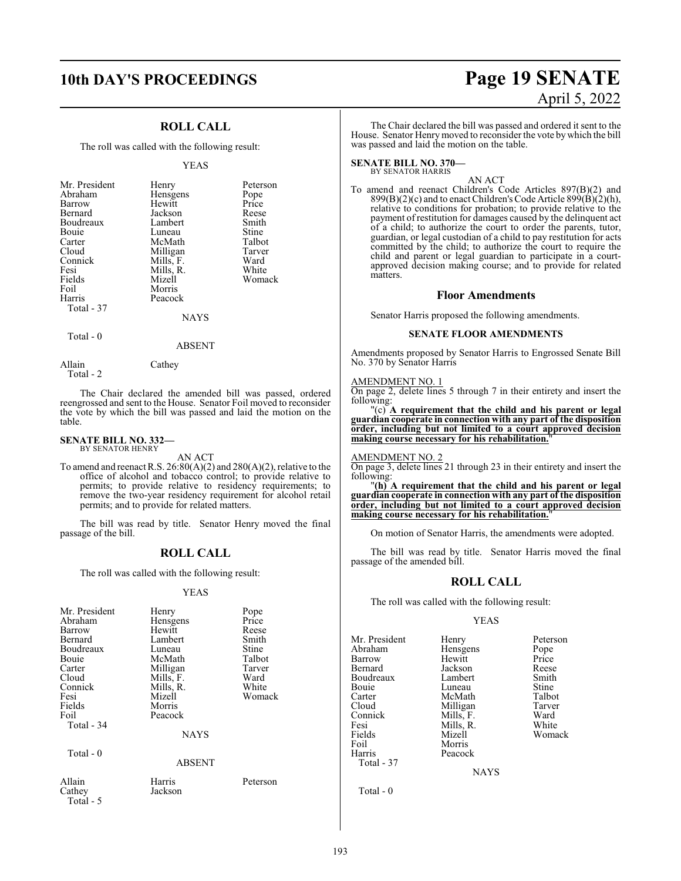### **ROLL CALL**

The roll was called with the following result:

#### YEAS

| Mr. President | Henry     | Peterson |
|---------------|-----------|----------|
| Abraham       | Hensgens  | Pope     |
| Barrow        | Hewitt    | Price    |
| Bernard       | Jackson   | Reese    |
| Boudreaux     | Lambert   | Smith    |
| Bouie         | Luneau    | Stine    |
| Carter        | McMath    | Talbot   |
| Cloud         | Milligan  | Tarver   |
| Connick       | Mills, F. | Ward     |
| Fesi          | Mills, R. | White    |
| Fields        | Mizell    | Womack   |
| Foil          | Morris    |          |
| Harris        | Peacock   |          |
| Total - 37    |           |          |
|               | NAYS      |          |

 $Total - 0$ 

ABSENT

Allain Cathey Total - 2

The Chair declared the amended bill was passed, ordered reengrossed and sent to the House. Senator Foil moved to reconsider the vote by which the bill was passed and laid the motion on the table.

#### **SENATE BILL NO. 332—** BY SENATOR HENRY

AN ACT

To amend and reenact R.S. 26:80(A)(2) and 280(A)(2), relative to the office of alcohol and tobacco control; to provide relative to permits; to provide relative to residency requirements; to remove the two-year residency requirement for alcohol retail permits; and to provide for related matters.

The bill was read by title. Senator Henry moved the final passage of the bill.

#### **ROLL CALL**

The roll was called with the following result:

#### YEAS

| Mr. President<br>Abraham<br>Barrow<br>Bernard<br>Boudreaux<br>Bouie<br>Carter<br>Cloud<br>Connick<br>Fesi<br>Fields<br>Foil<br>Total - 34<br>Total - 0 | Henry<br>Hensgens<br>Hewitt<br>Lambert<br>Luneau<br>McMath<br>Milligan<br>Mills, F.<br>Mills, R.<br>Mizell<br>Morris<br>Peacock<br><b>NAYS</b><br><b>ABSENT</b> | Pope<br>Price<br>Reese<br>Smith<br>Stine<br>Talbot<br>Tarver<br>Ward<br>White<br>Womack |
|--------------------------------------------------------------------------------------------------------------------------------------------------------|-----------------------------------------------------------------------------------------------------------------------------------------------------------------|-----------------------------------------------------------------------------------------|
| Allain                                                                                                                                                 | Harris                                                                                                                                                          | Peterson                                                                                |
| Cathey                                                                                                                                                 | Jackson                                                                                                                                                         |                                                                                         |

# **10th DAY'S PROCEEDINGS Page 19 SENATE** April 5, 2022

The Chair declared the bill was passed and ordered it sent to the House. Senator Henrymoved to reconsider the vote bywhich the bill was passed and laid the motion on the table.

#### **SENATE BILL NO. 370—** BY SENATOR HARRIS

AN ACT

To amend and reenact Children's Code Articles 897(B)(2) and  $899(B)(2)(c)$  and to enact Children's Code Article  $899(B)(2)(h)$ , relative to conditions for probation; to provide relative to the payment of restitution for damages caused by the delinquent act of a child; to authorize the court to order the parents, tutor, guardian, or legal custodian of a child to pay restitution for acts committed by the child; to authorize the court to require the child and parent or legal guardian to participate in a courtapproved decision making course; and to provide for related matters.

#### **Floor Amendments**

Senator Harris proposed the following amendments.

#### **SENATE FLOOR AMENDMENTS**

Amendments proposed by Senator Harris to Engrossed Senate Bill No. 370 by Senator Harris

#### AMENDMENT NO. 1

On page 2, delete lines 5 through 7 in their entirety and insert the following:

"(c) **A requirement that the child and his parent or legal guardian cooperate in connection with any part of the disposition order, including but not limited to a court approved decision making course necessary for his rehabilitation.**"

AMENDMENT NO. 2

On page 3, delete lines 21 through 23 in their entirety and insert the following:

"**(h) A requirement that the child and his parent or legal guardian cooperate in connection with any part of the disposition order, including but not limited to a court approved decision** making course necessary for his rehabilitation.

On motion of Senator Harris, the amendments were adopted.

The bill was read by title. Senator Harris moved the final passage of the amended bill.

#### **ROLL CALL**

The roll was called with the following result:

#### YEAS

Mr. President Henry Peterson<br>Abraham Hensgens Pope Hensgens Pope<br>
Hewitt Price Barrow Hewitt Price<br>Bernard Jackson Reese Jackson Reese<br>Lambert Smith Boudreaux Lambert Smith Bouie Luneau Stine<br>Carter McMath Talbot Carter McMath Talbot<br>Cloud Milligan Tarver Cloud Milligan Tarver<br>
Connick Mills, F. Ward Connick Mills, F. Ward<br>Fesi Mills, R. White Fesi Mills, R.<br>Fields Mizell Fields Mizell Womack<br>
Foil Morris Foil Morris<br>Harris Peacoc Peacock Total - 37

NAYS

Total - 5

Total - 0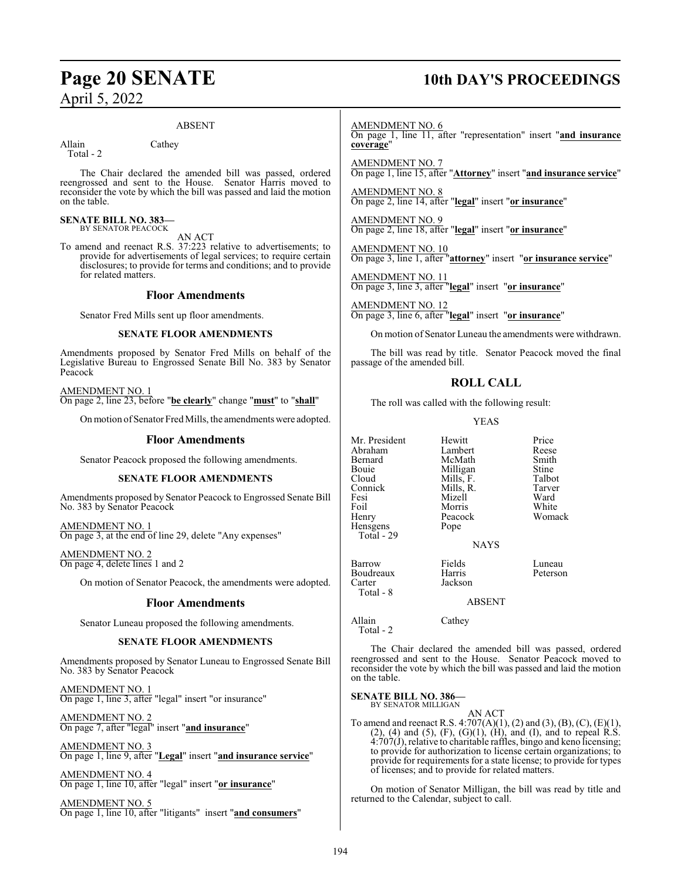#### ABSENT

Allain Cathey Total - 2

The Chair declared the amended bill was passed, ordered reengrossed and sent to the House. Senator Harris moved to reconsider the vote by which the bill was passed and laid the motion on the table.

#### **SENATE BILL NO. 383—** BY SENATOR PEACOCK

AN ACT

To amend and reenact R.S. 37:223 relative to advertisements; to provide for advertisements of legal services; to require certain disclosures; to provide for terms and conditions; and to provide for related matters.

#### **Floor Amendments**

Senator Fred Mills sent up floor amendments.

#### **SENATE FLOOR AMENDMENTS**

Amendments proposed by Senator Fred Mills on behalf of the Legislative Bureau to Engrossed Senate Bill No. 383 by Senator Peacock

AMENDMENT NO. 1 On page 2, line 23, before "**be clearly**" change "**must**" to "**shall**"

On motion of Senator Fred Mills, the amendments were adopted.

#### **Floor Amendments**

Senator Peacock proposed the following amendments.

#### **SENATE FLOOR AMENDMENTS**

Amendments proposed by Senator Peacock to Engrossed Senate Bill No. 383 by Senator Peacock

AMENDMENT NO. 1 On page 3, at the end of line 29, delete "Any expenses"

AMENDMENT NO. 2 On page 4, delete lines 1 and 2

On motion of Senator Peacock, the amendments were adopted.

#### **Floor Amendments**

Senator Luneau proposed the following amendments.

#### **SENATE FLOOR AMENDMENTS**

Amendments proposed by Senator Luneau to Engrossed Senate Bill No. 383 by Senator Peacock

AMENDMENT NO. 1 On page 1, line 3, after "legal" insert "or insurance"

AMENDMENT NO. 2 On page 7, after "legal" insert "**and insurance**"

AMENDMENT NO. 3 On page 1, line 9, after "**Legal**" insert "**and insurance service**"

AMENDMENT NO. 4 On page 1, line 10, after "legal" insert "**or insurance**"

AMENDMENT NO. 5 On page 1, line 10, after "litigants" insert "**and consumers**"

# **Page 20 SENATE 10th DAY'S PROCEEDINGS**

AMENDMENT NO. 6 On page 1, line 11, after "representation" insert "**and insurance coverage**"

AMENDMENT NO. 7 On page 1, line 15, after "**Attorney**" insert "**and insurance service**"

AMENDMENT NO. 8 On page 2, line 14, after "**legal**" insert "**or insurance**"

AMENDMENT NO. 9 On page 2, line 18, after "**legal**" insert "**or insurance**"

AMENDMENT NO. 10 On page 3, line 1, after "**attorney**" insert "**or insurance service**"

AMENDMENT NO. 11 On page 3, line 3, after "**legal**" insert "**or insurance**"

AMENDMENT NO. 12 On page 3, line 6, after "**legal**" insert "**or insurance**"

On motion of Senator Luneau the amendments were withdrawn.

The bill was read by title. Senator Peacock moved the final passage of the amended bill.

## **ROLL CALL**

The roll was called with the following result:

Peacock<br>Pope

Jackson

YEAS

Mr. President Hewitt Price<br>Abraham Lambert Reese Abraham Lambert Reese Bernard McMath Smith<br>Bouie Milligan Stine Bouie Milligan Stine<br>Cloud Mills, F. Talbot Cloud Mills, F. Talbot Connick Mills, R. Tarve<br>
Fesi Mizell Ward Fesi Mizell Ward Foil Morris White<br>
Henry Peacock Womack Hensgens Total - 29 Boudreaux<br>Carter

Total - 8

Barrow Fields Luneau

ABSENT

**NAYS** 

Allain Cathey Total - 2

The Chair declared the amended bill was passed, ordered reengrossed and sent to the House. Senator Peacock moved to reconsider the vote by which the bill was passed and laid the motion on the table.

**SENATE BILL NO. 386—** BY SENATOR MILLIGAN

AN ACT

To amend and reenact R.S. 4:707(A)(1), (2) and (3), (B), (C), (E)(1),  $(2)$ ,  $(4)$  and  $(5)$ ,  $(F)$ ,  $(G)(1)$ ,  $(H)$ , and  $(I)$ , and to repeal R.S.  $4:707(J)$ , relative to charitable raffles, bingo and keno licensing; to provide for authorization to license certain organizations; to provide for requirements for a state license; to provide for types of licenses; and to provide for related matters.

On motion of Senator Milligan, the bill was read by title and returned to the Calendar, subject to call.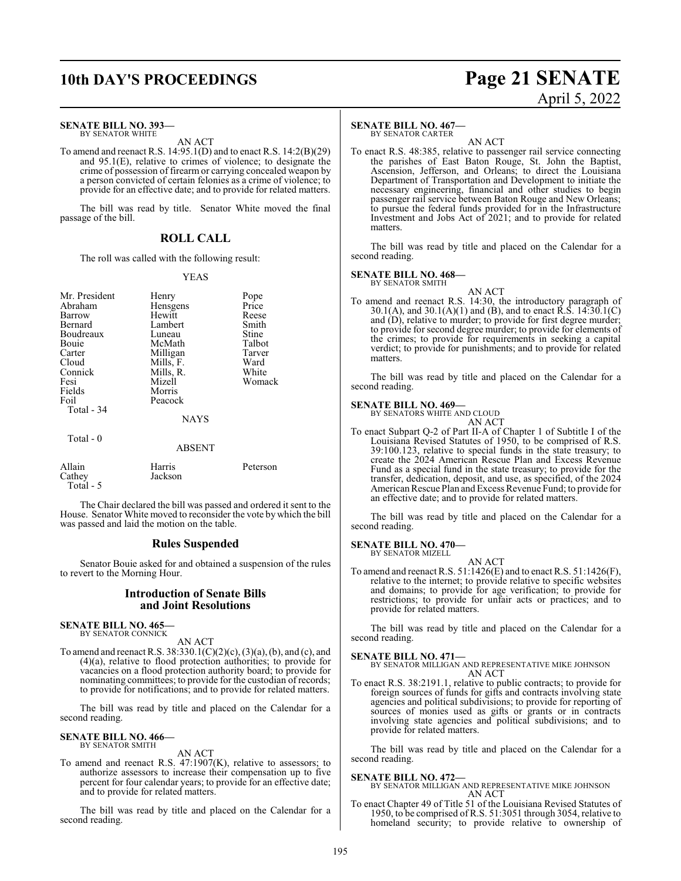# **10th DAY'S PROCEEDINGS Page 21 SENATE**

#### **SENATE BILL NO. 393—** BY SENATOR WHITE

AN ACT

To amend and reenact R.S. 14:95.1(D) and to enact R.S. 14:2(B)(29) and 95.1(E), relative to crimes of violence; to designate the crime of possession of firearm or carrying concealed weapon by a person convicted of certain felonies as a crime of violence; to provide for an effective date; and to provide for related matters.

The bill was read by title. Senator White moved the final passage of the bill.

### **ROLL CALL**

The roll was called with the following result:

#### YEAS

| Mr. President<br>Abraham<br>Barrow<br>Bernard<br>Boudreaux<br>Bouie<br>Carter<br>Cloud<br>Connick<br>Fesi<br>Fields<br>Foil<br>Total - 34 | Henry<br>Hensgens<br>Hewitt<br>Lambert<br>Luneau<br>McMath<br>Milligan<br>Mills, F.<br>Mills, R.<br>Mizell<br>Morris<br>Peacock<br><b>NAYS</b> | Pope<br>Price<br>Reese<br>Smith<br>Stine<br>Talbot<br>Tarver<br>Ward<br>White<br>Womack |
|-------------------------------------------------------------------------------------------------------------------------------------------|------------------------------------------------------------------------------------------------------------------------------------------------|-----------------------------------------------------------------------------------------|
| Total $-0$                                                                                                                                |                                                                                                                                                |                                                                                         |
|                                                                                                                                           | <b>ABSENT</b>                                                                                                                                  |                                                                                         |
| Allain<br>Cathev                                                                                                                          | Harris<br>Jackson                                                                                                                              | Peterson                                                                                |

The Chair declared the bill was passed and ordered it sent to the House. Senator White moved to reconsider the vote by which the bill was passed and laid the motion on the table.

#### **Rules Suspended**

Senator Bouie asked for and obtained a suspension of the rules to revert to the Morning Hour.

#### **Introduction of Senate Bills and Joint Resolutions**

**SENATE BILL NO. 465—** BY SENATOR CONNICK

Total - 5

AN ACT

To amend and reenact R.S.  $38:330.1(C)(2)(c)$ ,  $(3)(a)$ ,  $(b)$ , and  $(c)$ , and (4)(a), relative to flood protection authorities; to provide for vacancies on a flood protection authority board; to provide for nominating committees; to provide for the custodian of records; to provide for notifications; and to provide for related matters.

The bill was read by title and placed on the Calendar for a second reading.

#### **SENATE BILL NO. 466—** BY SENATOR SMITH

AN ACT

To amend and reenact R.S. 47:1907(K), relative to assessors; to authorize assessors to increase their compensation up to five percent for four calendar years; to provide for an effective date; and to provide for related matters.

The bill was read by title and placed on the Calendar for a second reading.

#### **SENATE BILL NO. 467—**

BY SENATOR CARTER

AN ACT To enact R.S. 48:385, relative to passenger rail service connecting the parishes of East Baton Rouge, St. John the Baptist, Ascension, Jefferson, and Orleans; to direct the Louisiana Department of Transportation and Development to initiate the necessary engineering, financial and other studies to begin passenger rail service between Baton Rouge and New Orleans; to pursue the federal funds provided for in the Infrastructure Investment and Jobs Act of 2021; and to provide for related matters.

The bill was read by title and placed on the Calendar for a second reading.

#### **SENATE BILL NO. 468—**

BY SENATOR SMITH AN ACT

To amend and reenact R.S. 14:30, the introductory paragraph of 30.1(A), and 30.1(A)(1) and (B), and to enact R.S. 14:30.1(C) and (D), relative to murder; to provide for first degree murder; to provide for second degree murder; to provide for elements of the crimes; to provide for requirements in seeking a capital verdict; to provide for punishments; and to provide for related matters.

The bill was read by title and placed on the Calendar for a second reading.

#### **SENATE BILL NO. 469—**

BY SENATORS WHITE AND CLOUD AN ACT

To enact Subpart Q-2 of Part II-A of Chapter 1 of Subtitle I of the Louisiana Revised Statutes of 1950, to be comprised of R.S. 39:100.123, relative to special funds in the state treasury; to create the 2024 American Rescue Plan and Excess Revenue Fund as a special fund in the state treasury; to provide for the transfer, dedication, deposit, and use, as specified, of the 2024 American Rescue Plan and Excess Revenue Fund; to provide for an effective date; and to provide for related matters.

The bill was read by title and placed on the Calendar for a second reading.

#### **SENATE BILL NO. 470—**

BY SENATOR MIZELL AN ACT

To amend and reenact R.S.  $51:1426(E)$  and to enact R.S.  $51:1426(F)$ , relative to the internet; to provide relative to specific websites and domains; to provide for age verification; to provide for restrictions; to provide for unfair acts or practices; and to provide for related matters.

The bill was read by title and placed on the Calendar for a second reading.

#### **SENATE BILL NO. 471—**

#### BY SENATOR MILLIGAN AND REPRESENTATIVE MIKE JOHNSON AN ACT

To enact R.S. 38:2191.1, relative to public contracts; to provide for foreign sources of funds for gifts and contracts involving state agencies and political subdivisions; to provide for reporting of sources of monies used as gifts or grants or in contracts involving state agencies and political subdivisions; and to provide for related matters.

The bill was read by title and placed on the Calendar for a second reading.

#### **SENATE BILL NO. 472—**

BY SENATOR MILLIGAN AND REPRESENTATIVE MIKE JOHNSON AN ACT

To enact Chapter 49 of Title 51 of the Louisiana Revised Statutes of 1950, to be comprised of R.S. 51:3051 through 3054, relative to homeland security; to provide relative to ownership of

# April 5, 2022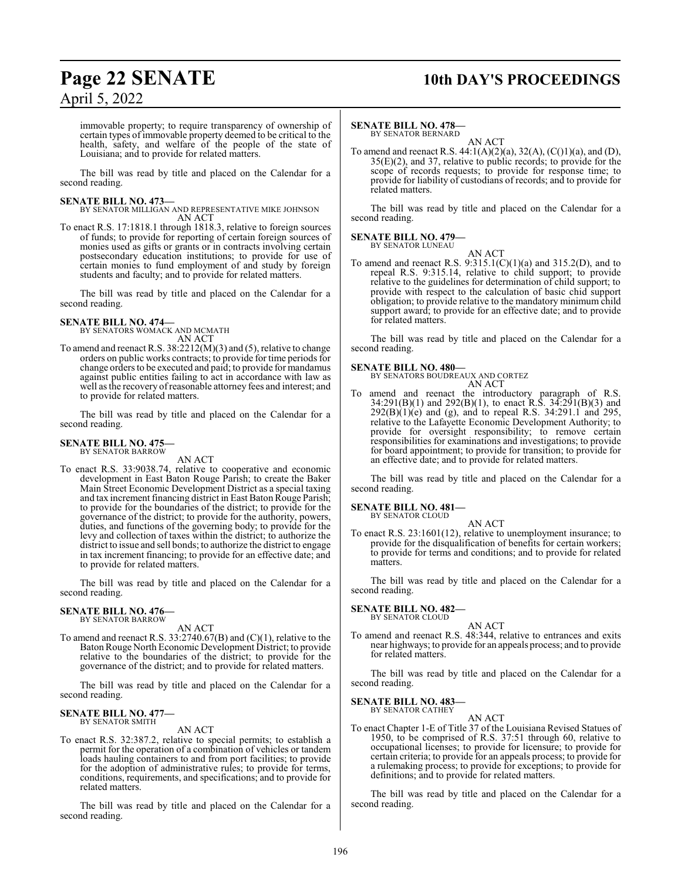# **Page 22 SENATE 10th DAY'S PROCEEDINGS**

## April 5, 2022

immovable property; to require transparency of ownership of certain types of immovable property deemed to be critical to the health, safety, and welfare of the people of the state of Louisiana; and to provide for related matters.

The bill was read by title and placed on the Calendar for a second reading.

**SENATE BILL NO. 473—** BY SENATOR MILLIGAN AND REPRESENTATIVE MIKE JOHNSON AN ACT

To enact R.S. 17:1818.1 through 1818.3, relative to foreign sources of funds; to provide for reporting of certain foreign sources of monies used as gifts or grants or in contracts involving certain postsecondary education institutions; to provide for use of certain monies to fund employment of and study by foreign students and faculty; and to provide for related matters.

The bill was read by title and placed on the Calendar for a second reading.

# **SENATE BILL NO. 474—**<br>BY SENATORS WOMACK AND MCMATH

AN ACT

To amend and reenact R.S. 38:2212(M)(3) and (5), relative to change orders on public works contracts; to provide for time periods for change orders to be executed and paid; to provide for mandamus against public entities failing to act in accordance with law as well as the recovery of reasonable attorney fees and interest; and to provide for related matters.

The bill was read by title and placed on the Calendar for a second reading.

#### **SENATE BILL NO. 475—** BY SENATOR BARROW

AN ACT

To enact R.S. 33:9038.74, relative to cooperative and economic development in East Baton Rouge Parish; to create the Baker Main Street Economic Development District as a special taxing and tax increment financing district in East Baton Rouge Parish; to provide for the boundaries of the district; to provide for the governance of the district; to provide for the authority, powers, duties, and functions of the governing body; to provide for the levy and collection of taxes within the district; to authorize the district to issue and sell bonds; to authorize the district to engage in tax increment financing; to provide for an effective date; and to provide for related matters.

The bill was read by title and placed on the Calendar for a second reading.

# **SENATE BILL NO. 476—** BY SENATOR BARROW

AN ACT

To amend and reenact R.S. 33:2740.67(B) and (C)(1), relative to the Baton Rouge North Economic Development District; to provide relative to the boundaries of the district; to provide for the governance of the district; and to provide for related matters.

The bill was read by title and placed on the Calendar for a second reading.

#### **SENATE BILL NO. 477—** BY SENATOR SMITH

AN ACT

To enact R.S. 32:387.2, relative to special permits; to establish a permit for the operation of a combination of vehicles or tandem loads hauling containers to and from port facilities; to provide for the adoption of administrative rules; to provide for terms, conditions, requirements, and specifications; and to provide for related matters.

The bill was read by title and placed on the Calendar for a second reading.

#### **SENATE BILL NO. 478—**

BY SENATOR BERNARD AN ACT

To amend and reenact R.S.  $44:1(A)(2)(a)$ ,  $32(A)$ ,  $(C(1)(a)$ , and  $(D)$ , 35(E)(2), and 37, relative to public records; to provide for the scope of records requests; to provide for response time; to provide for liability of custodians of records; and to provide for related matters.

The bill was read by title and placed on the Calendar for a second reading.

#### **SENATE BILL NO. 479—**

BY SENATOR LUNEAU AN ACT

To amend and reenact R.S.  $9:315.1(C)(1)(a)$  and  $315.2(D)$ , and to repeal R.S. 9:315.14, relative to child support; to provide relative to the guidelines for determination of child support; to provide with respect to the calculation of basic chid support obligation; to provide relative to the mandatory minimum child support award; to provide for an effective date; and to provide for related matters.

The bill was read by title and placed on the Calendar for a second reading.

#### **SENATE BILL NO. 480—**

BY SENATORS BOUDREAUX AND CORTEZ AN ACT

To amend and reenact the introductory paragraph of R.S.  $34:291(B)(1)$  and  $292(B)(1)$ , to enact R.S.  $34:291(B)(3)$  and  $292(B)(1)(e)$  and (g), and to repeal R.S. 34:291.1 and 295, relative to the Lafayette Economic Development Authority; to provide for oversight responsibility; to remove certain responsibilities for examinations and investigations; to provide for board appointment; to provide for transition; to provide for an effective date; and to provide for related matters.

The bill was read by title and placed on the Calendar for a second reading.

#### **SENATE BILL NO. 481—**

BY SENATOR CLOUD AN ACT

To enact R.S. 23:1601(12), relative to unemployment insurance; to provide for the disqualification of benefits for certain workers; to provide for terms and conditions; and to provide for related matters.

The bill was read by title and placed on the Calendar for a second reading.

**SENATE BILL NO. 482—** BY SENATOR CLOUD

AN ACT

To amend and reenact R.S. 48:344, relative to entrances and exits near highways; to provide for an appeals process; and to provide for related matters.

The bill was read by title and placed on the Calendar for a second reading.

**SENATE BILL NO. 483—** BY SENATOR CATHEY

AN ACT

To enact Chapter 1-E of Title 37 of the Louisiana Revised Statues of 1950, to be comprised of R.S. 37:51 through 60, relative to occupational licenses; to provide for licensure; to provide for certain criteria; to provide for an appeals process; to provide for a rulemaking process; to provide for exceptions; to provide for definitions; and to provide for related matters.

The bill was read by title and placed on the Calendar for a second reading.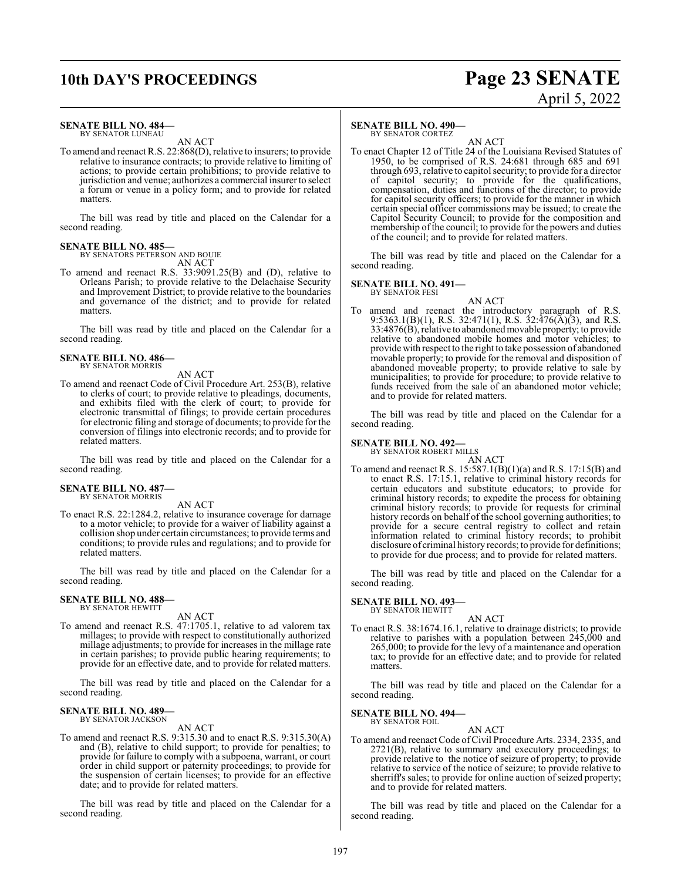# **10th DAY'S PROCEEDINGS Page 23 SENATE**

#### **SENATE BILL NO. 484—**

BY SENATOR LUNEAU

AN ACT To amend and reenact R.S. 22:868(D), relative to insurers; to provide relative to insurance contracts; to provide relative to limiting of actions; to provide certain prohibitions; to provide relative to jurisdiction and venue; authorizes a commercial insurer to select a forum or venue in a policy form; and to provide for related matters.

The bill was read by title and placed on the Calendar for a second reading.

#### **SENATE BILL NO. 485—**

BY SENATORS PETERSON AND BOUIE AN ACT

To amend and reenact R.S. 33:9091.25(B) and (D), relative to Orleans Parish; to provide relative to the Delachaise Security and Improvement District; to provide relative to the boundaries and governance of the district; and to provide for related matters.

The bill was read by title and placed on the Calendar for a second reading.

#### **SENATE BILL NO. 486—** BY SENATOR MORRIS

AN ACT

To amend and reenact Code of Civil Procedure Art. 253(B), relative to clerks of court; to provide relative to pleadings, documents, and exhibits filed with the clerk of court; to provide for electronic transmittal of filings; to provide certain procedures for electronic filing and storage of documents; to provide for the conversion of filings into electronic records; and to provide for related matters.

The bill was read by title and placed on the Calendar for a second reading.

# **SENATE BILL NO. 487—** BY SENATOR MORRIS

AN ACT

To enact R.S. 22:1284.2, relative to insurance coverage for damage to a motor vehicle; to provide for a waiver of liability against a collision shop under certain circumstances; to provide terms and conditions; to provide rules and regulations; and to provide for related matters.

The bill was read by title and placed on the Calendar for a second reading.

# **SENATE BILL NO. 488—** BY SENATOR HEWITT

AN ACT

To amend and reenact R.S. 47:1705.1, relative to ad valorem tax millages; to provide with respect to constitutionally authorized millage adjustments; to provide for increases in the millage rate in certain parishes; to provide public hearing requirements; to provide for an effective date, and to provide for related matters.

The bill was read by title and placed on the Calendar for a second reading.

#### **SENATE BILL NO. 489—** BY SENATOR JACKSON

AN ACT

To amend and reenact R.S. 9:315.30 and to enact R.S. 9:315.30(A) and (B), relative to child support; to provide for penalties; to provide for failure to comply with a subpoena, warrant, or court order in child support or paternity proceedings; to provide for the suspension of certain licenses; to provide for an effective date; and to provide for related matters.

The bill was read by title and placed on the Calendar for a second reading.

#### **SENATE BILL NO. 490—**

BY SENATOR CORTEZ

AN ACT To enact Chapter 12 of Title 24 of the Louisiana Revised Statutes of 1950, to be comprised of R.S. 24:681 through 685 and 691 through 693, relative to capitol security; to provide for a director of capitol security; to provide for the qualifications, compensation, duties and functions of the director; to provide for capitol security officers; to provide for the manner in which certain special officer commissions may be issued; to create the Capitol Security Council; to provide for the composition and membership of the council; to provide for the powers and duties of the council; and to provide for related matters.

The bill was read by title and placed on the Calendar for a second reading.

#### **SENATE BILL NO. 491—** BY SENATOR FESI

AN ACT To amend and reenact the introductory paragraph of R.S. 9:5363.1(B)(1), R.S. 32:471(1), R.S. 32:476(A)(3), and R.S. 33:4876(B), relative to abandonedmovable property; to provide relative to abandoned mobile homes and motor vehicles; to provide with respect to the right to take possession of abandoned movable property; to provide for the removal and disposition of abandoned moveable property; to provide relative to sale by municipalities; to provide for procedure; to provide relative to funds received from the sale of an abandoned motor vehicle; and to provide for related matters.

The bill was read by title and placed on the Calendar for a second reading.

#### **SENATE BILL NO. 492—**

BY SENATOR ROBERT MILLS

AN ACT

To amend and reenact R.S. 15:587.1(B)(1)(a) and R.S. 17:15(B) and to enact R.S. 17:15.1, relative to criminal history records for certain educators and substitute educators; to provide for criminal history records; to expedite the process for obtaining criminal history records; to provide for requests for criminal history records on behalf of the school governing authorities; to provide for a secure central registry to collect and retain information related to criminal history records; to prohibit disclosure of criminal history records; to provide for definitions; to provide for due process; and to provide for related matters.

The bill was read by title and placed on the Calendar for a second reading.

#### **SENATE BILL NO. 493—** BY SENATOR HEWITT

AN ACT

To enact R.S. 38:1674.16.1, relative to drainage districts; to provide relative to parishes with a population between 245,000 and 265,000; to provide for the levy of a maintenance and operation tax; to provide for an effective date; and to provide for related matters.

The bill was read by title and placed on the Calendar for a second reading.

#### **SENATE BILL NO. 494—** BY SENATOR FOIL

AN ACT

To amend and reenact Code of Civil Procedure Arts. 2334, 2335, and 2721(B), relative to summary and executory proceedings; to provide relative to the notice of seizure of property; to provide relative to service of the notice of seizure; to provide relative to sherriff's sales; to provide for online auction of seized property; and to provide for related matters.

The bill was read by title and placed on the Calendar for a second reading.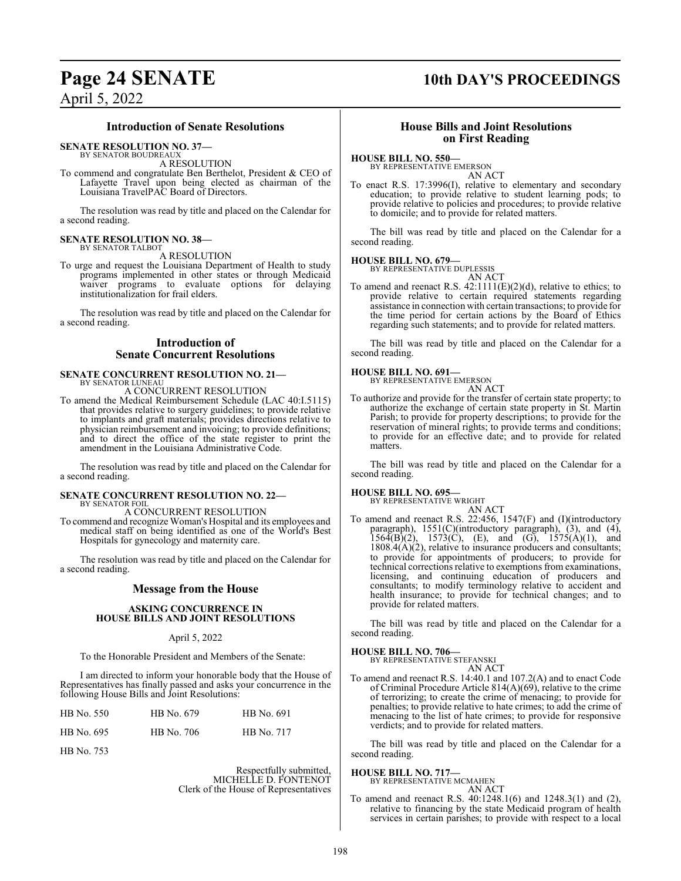# **Page 24 SENATE 10th DAY'S PROCEEDINGS**

## April 5, 2022

# **Introduction of Senate Resolutions**

**SENATE RESOLUTION NO. 37—**

BY SENATOR BOUDREAUX

A RESOLUTION

To commend and congratulate Ben Berthelot, President & CEO of Lafayette Travel upon being elected as chairman of the Louisiana TravelPAC Board of Directors.

The resolution was read by title and placed on the Calendar for a second reading.

#### **SENATE RESOLUTION NO. 38—** BY SENATOR TALBOT

A RESOLUTION

To urge and request the Louisiana Department of Health to study programs implemented in other states or through Medicaid waiver programs to evaluate options for delaying institutionalization for frail elders.

The resolution was read by title and placed on the Calendar for a second reading.

#### **Introduction of Senate Concurrent Resolutions**

#### **SENATE CONCURRENT RESOLUTION NO. 21—** BY SENATOR LUNEAU A CONCURRENT RESOLUTION

To amend the Medical Reimbursement Schedule (LAC 40:I.5115) that provides relative to surgery guidelines; to provide relative to implants and graft materials; provides directions relative to physician reimbursement and invoicing; to provide definitions; and to direct the office of the state register to print the amendment in the Louisiana Administrative Code.

The resolution was read by title and placed on the Calendar for a second reading.

#### **SENATE CONCURRENT RESOLUTION NO. 22—** BY SENATOR FOIL

A CONCURRENT RESOLUTION

To commend and recognize Woman's Hospital and its employees and medical staff on being identified as one of the World's Best Hospitals for gynecology and maternity care.

The resolution was read by title and placed on the Calendar for a second reading.

#### **Message from the House**

#### **ASKING CONCURRENCE IN HOUSE BILLS AND JOINT RESOLUTIONS**

#### April 5, 2022

To the Honorable President and Members of the Senate:

I am directed to inform your honorable body that the House of Representatives has finally passed and asks your concurrence in the following House Bills and Joint Resolutions:

| HB No. 550 | HB No. 679 | HB No. 691 |
|------------|------------|------------|
| HB No. 695 | HB No. 706 | HB No. 717 |
| HB No. 753 |            |            |

Respectfully submitted, MICHELLE D. FONTENOT Clerk of the House of Representatives

#### **House Bills and Joint Resolutions on First Reading**

#### **HOUSE BILL NO. 550—**

BY REPRESENTATIVE EMERSON AN ACT

To enact R.S. 17:3996(I), relative to elementary and secondary education; to provide relative to student learning pods; to provide relative to policies and procedures; to provide relative to domicile; and to provide for related matters.

The bill was read by title and placed on the Calendar for a second reading.

#### **HOUSE BILL NO. 679—**

BY REPRESENTATIVE DUPLESSIS

AN ACT To amend and reenact R.S.  $42:1111(E)(2)(d)$ , relative to ethics; to provide relative to certain required statements regarding assistance in connection with certain transactions; to provide for the time period for certain actions by the Board of Ethics regarding such statements; and to provide for related matters.

The bill was read by title and placed on the Calendar for a second reading.

#### **HOUSE BILL NO. 691—**

BY REPRESENTATIVE EMERSON

AN ACT To authorize and provide for the transfer of certain state property; to authorize the exchange of certain state property in St. Martin Parish; to provide for property descriptions; to provide for the reservation of mineral rights; to provide terms and conditions; to provide for an effective date; and to provide for related matters.

The bill was read by title and placed on the Calendar for a second reading.

#### **HOUSE BILL NO. 695—**

BY REPRESENTATIVE WRIGHT

AN ACT To amend and reenact R.S. 22:456, 1547(F) and (I)(introductory paragraph), 1551(C)(introductory paragraph), (3), and (4),  $156\overline{4(B)}(2)$ ,  $1573(\overline{C})$ , (E), and (G),  $1575(\overline{A})(1)$ , and  $1808.4(A)(2)$ , relative to insurance producers and consultants; to provide for appointments of producers; to provide for technical corrections relative to exemptions from examinations, licensing, and continuing education of producers and consultants; to modify terminology relative to accident and health insurance; to provide for technical changes; and to provide for related matters.

The bill was read by title and placed on the Calendar for a second reading.

#### **HOUSE BILL NO. 706—** BY REPRE

| SENTATIVE STEFANSKI |        |
|---------------------|--------|
|                     | AN ACT |

To amend and reenact R.S. 14:40.1 and 107.2(A) and to enact Code of Criminal Procedure Article 814(A)(69), relative to the crime of terrorizing; to create the crime of menacing; to provide for penalties; to provide relative to hate crimes; to add the crime of menacing to the list of hate crimes; to provide for responsive verdicts; and to provide for related matters.

The bill was read by title and placed on the Calendar for a second reading.

#### **HOUSE BILL NO. 717—**

BY REPRESENTATIVE MCMAHEN

- AN ACT
- To amend and reenact R.S. 40:1248.1(6) and 1248.3(1) and (2), relative to financing by the state Medicaid program of health services in certain parishes; to provide with respect to a local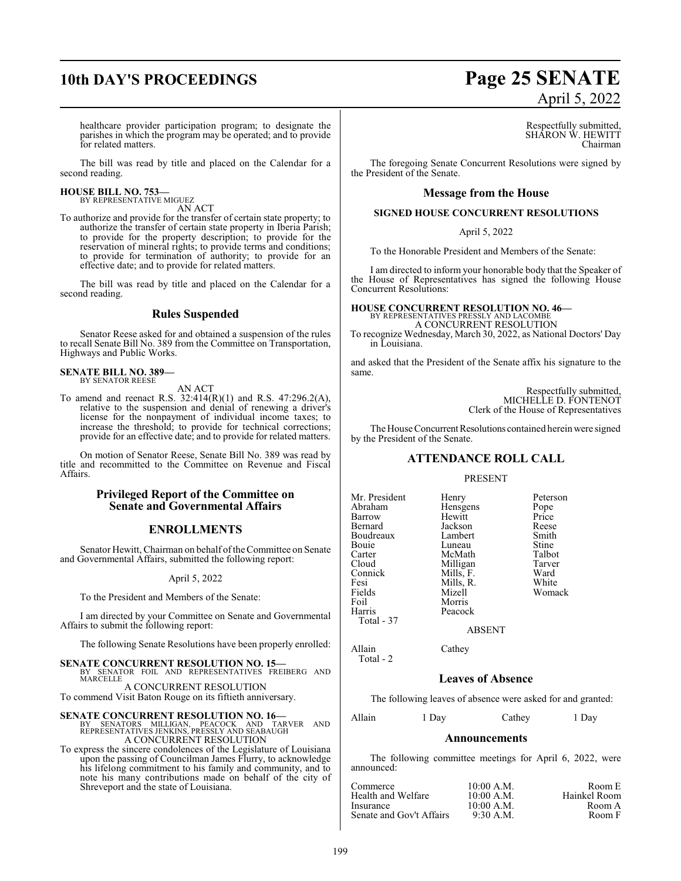# **10th DAY'S PROCEEDINGS Page 25 SENATE** April 5, 2022

healthcare provider participation program; to designate the parishes in which the program may be operated; and to provide for related matters.

The bill was read by title and placed on the Calendar for a second reading.

#### **HOUSE BILL NO. 753—** BY REPRESENTATIVE MIGUEZ

AN ACT

To authorize and provide for the transfer of certain state property; to authorize the transfer of certain state property in Iberia Parish; to provide for the property description; to provide for the reservation of mineral rights; to provide terms and conditions; to provide for termination of authority; to provide for an effective date; and to provide for related matters.

The bill was read by title and placed on the Calendar for a second reading.

#### **Rules Suspended**

Senator Reese asked for and obtained a suspension of the rules to recall Senate Bill No. 389 from the Committee on Transportation, Highways and Public Works.

**SENATE BILL NO. 389—** BY SENATOR REESE

AN ACT

To amend and reenact R.S. 32:414(R)(1) and R.S. 47:296.2(A), relative to the suspension and denial of renewing a driver's license for the nonpayment of individual income taxes; to increase the threshold; to provide for technical corrections; provide for an effective date; and to provide for related matters.

On motion of Senator Reese, Senate Bill No. 389 was read by title and recommitted to the Committee on Revenue and Fiscal Affairs.

#### **Privileged Report of the Committee on Senate and Governmental Affairs**

#### **ENROLLMENTS**

Senator Hewitt, Chairman on behalf of the Committee on Senate and Governmental Affairs, submitted the following report:

#### April 5, 2022

To the President and Members of the Senate:

I am directed by your Committee on Senate and Governmental Affairs to submit the following report:

The following Senate Resolutions have been properly enrolled:

#### **SENATE CONCURRENT RESOLUTION NO. 15—**

BY SENATOR FOIL AND REPRESENTATIVES FREIBERG AND MARCELLE A CONCURRENT RESOLUTION

To commend Visit Baton Rouge on its fiftieth anniversary.

#### **SENATE CONCURRENT RESOLUTION NO. 16—**

BY SENATORS MILLIGAN, PEACOCK AND TARVER AND REPRESENTATIVES JENKINS, PRESSLY AND SEABAUGH A CONCURRENT RESOLUTION

To express the sincere condolences of the Legislature of Louisiana upon the passing of Councilman James Flurry, to acknowledge his lifelong commitment to his family and community, and to note his many contributions made on behalf of the city of Shreveport and the state of Louisiana.

Respectfully submitted, SHARON W. HEWITT Chairman

The foregoing Senate Concurrent Resolutions were signed by the President of the Senate.

#### **Message from the House**

#### **SIGNED HOUSE CONCURRENT RESOLUTIONS**

April 5, 2022

To the Honorable President and Members of the Senate:

I am directed to inform your honorable body that the Speaker of the House of Representatives has signed the following House Concurrent Resolutions:

## **HOUSE CONCURRENT RESOLUTION NO. 46—** BY REPRESENTATIVES PRESSLY AND LACOMBE A CONCURRENT RESOLUTION

To recognize Wednesday, March 30, 2022, as National Doctors' Day in Louisiana.

and asked that the President of the Senate affix his signature to the same.

> Respectfully submitted, MICHELLE D. FONTENOT Clerk of the House of Representatives

The House Concurrent Resolutions contained herein were signed by the President of the Senate.

### **ATTENDANCE ROLL CALL**

#### PRESENT

| Mr. President | Henry     | Peterson |
|---------------|-----------|----------|
| Abraham       | Hensgens  | Pope     |
| Barrow        | Hewitt    | Price    |
| Bernard       | Jackson   | Reese    |
| Boudreaux     | Lambert   | Smith    |
| Bouie         | Luneau    | Stine    |
| Carter        | McMath    | Talbot   |
| Cloud         | Milligan  | Tarver   |
| Connick       | Mills, F. | Ward     |
| Fesi          | Mills, R. | White    |
| Fields        | Mizell    | Womack   |
| Foil          | Morris    |          |
| Harris        | Peacock   |          |
| Total - 37    |           |          |
|               |           |          |

ABSENT

Allain Cathey Total - 2

## **Leaves of Absence**

The following leaves of absence were asked for and granted:

Allain 1 Day Cathey 1 Day

#### **Announcements**

The following committee meetings for April 6, 2022, were announced:

| Commerce                 | 10:00 A.M.  | Room E       |
|--------------------------|-------------|--------------|
| Health and Welfare       | 10:00 A.M.  | Hainkel Room |
| Insurance                | 10:00 A.M.  | Room A       |
| Senate and Gov't Affairs | $9:30$ A.M. | Room F       |